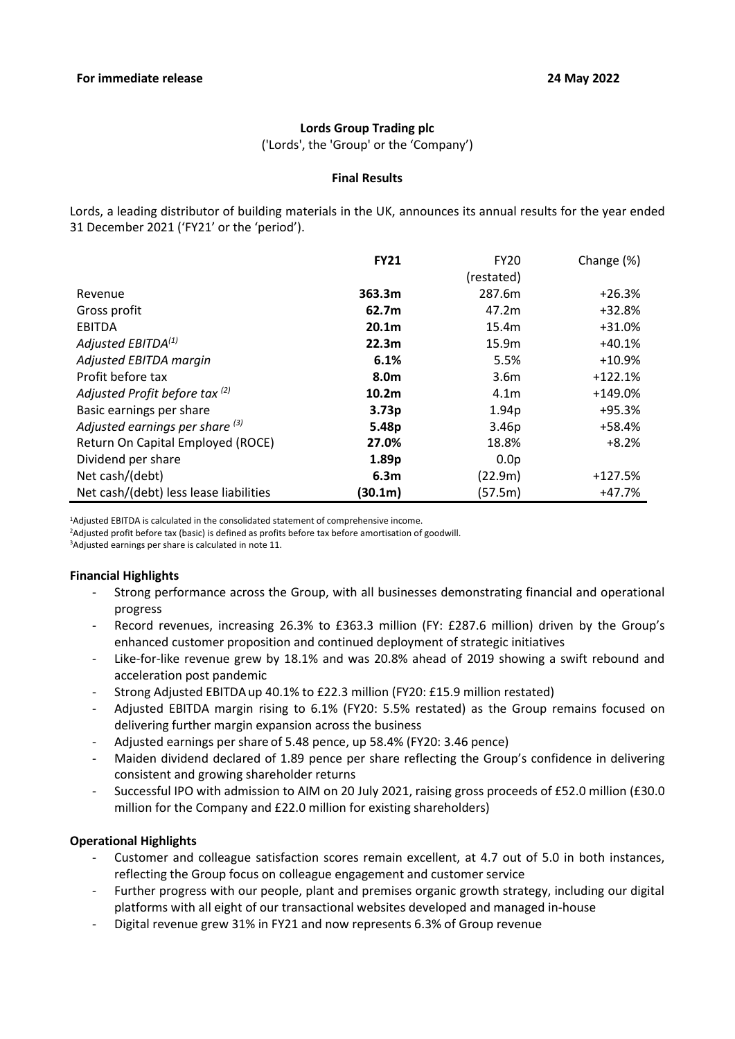# **Lords Group Trading plc**

('Lords', the 'Group' or the 'Company')

### **Final Results**

Lords, a leading distributor of building materials in the UK, announces its annual results for the year ended 31 December 2021 ('FY21' or the 'period').

|                                        | <b>FY21</b>       | <b>FY20</b>       | Change (%) |
|----------------------------------------|-------------------|-------------------|------------|
|                                        |                   | (restated)        |            |
| Revenue                                | 363.3m            | 287.6m            | $+26.3%$   |
| Gross profit                           | 62.7m             | 47.2m             | $+32.8%$   |
| <b>EBITDA</b>                          | 20.1 <sub>m</sub> | 15.4m             | $+31.0%$   |
| Adjusted EBITDA $^{(1)}$               | 22.3 <sub>m</sub> | 15.9m             | $+40.1%$   |
| Adjusted EBITDA margin                 | 6.1%              | 5.5%              | $+10.9%$   |
| Profit before tax                      | 8.0m              | 3.6 <sub>m</sub>  | $+122.1%$  |
| Adjusted Profit before tax (2)         | 10.2 <sub>m</sub> | 4.1 <sub>m</sub>  | $+149.0%$  |
| Basic earnings per share               | 3.73 <sub>p</sub> | 1.94p             | +95.3%     |
| Adjusted earnings per share $(3)$      | 5.48p             | 3.46 <sub>p</sub> | +58.4%     |
| Return On Capital Employed (ROCE)      | 27.0%             | 18.8%             | $+8.2%$    |
| Dividend per share                     | 1.89p             | 0.0 <sub>p</sub>  |            |
| Net cash/(debt)                        | 6.3 <sub>m</sub>  | (22.9m)           | $+127.5%$  |
| Net cash/(debt) less lease liabilities | (30.1m)           | (57.5m)           | +47.7%     |

<sup>1</sup>Adjusted EBITDA is calculated in the consolidated statement of comprehensive income.

<sup>2</sup>Adjusted profit before tax (basic) is defined as profits before tax before amortisation of goodwill.

<sup>3</sup>Adjusted earnings per share is calculated in note 11.

# **Financial Highlights**

- Strong performance across the Group, with all businesses demonstrating financial and operational progress
- Record revenues, increasing 26.3% to £363.3 million (FY: £287.6 million) driven by the Group's enhanced customer proposition and continued deployment of strategic initiatives
- Like-for-like revenue grew by 18.1% and was 20.8% ahead of 2019 showing a swift rebound and acceleration post pandemic
- Strong Adjusted EBITDA up 40.1% to £22.3 million (FY20: £15.9 million restated)
- Adjusted EBITDA margin rising to 6.1% (FY20: 5.5% restated) as the Group remains focused on delivering further margin expansion across the business
- Adjusted earnings per share of 5.48 pence, up 58.4% (FY20: 3.46 pence)
- Maiden dividend declared of 1.89 pence per share reflecting the Group's confidence in delivering consistent and growing shareholder returns
- Successful IPO with admission to AIM on 20 July 2021, raising gross proceeds of £52.0 million (£30.0 million for the Company and £22.0 million for existing shareholders)

# **Operational Highlights**

- Customer and colleague satisfaction scores remain excellent, at 4.7 out of 5.0 in both instances, reflecting the Group focus on colleague engagement and customer service
- Further progress with our people, plant and premises organic growth strategy, including our digital platforms with all eight of our transactional websites developed and managed in-house
- Digital revenue grew 31% in FY21 and now represents 6.3% of Group revenue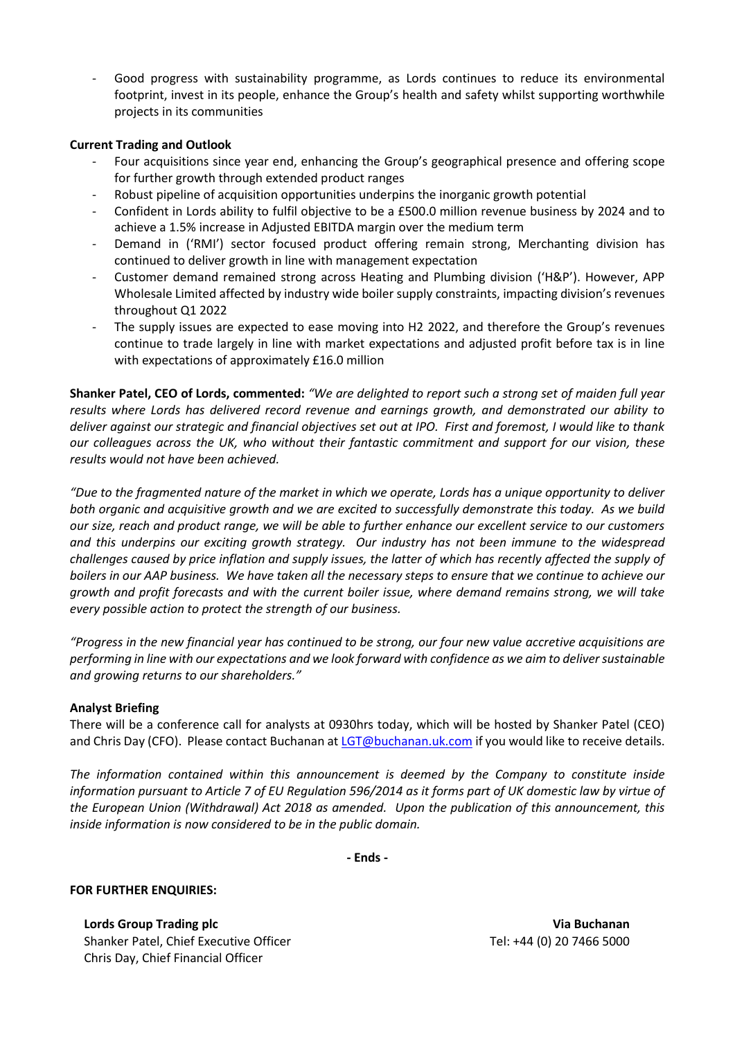- Good progress with sustainability programme, as Lords continues to reduce its environmental footprint, invest in its people, enhance the Group's health and safety whilst supporting worthwhile projects in its communities

# **Current Trading and Outlook**

- Four acquisitions since year end, enhancing the Group's geographical presence and offering scope for further growth through extended product ranges
- Robust pipeline of acquisition opportunities underpins the inorganic growth potential
- Confident in Lords ability to fulfil objective to be a £500.0 million revenue business by 2024 and to achieve a 1.5% increase in Adjusted EBITDA margin over the medium term
- Demand in ('RMI') sector focused product offering remain strong, Merchanting division has continued to deliver growth in line with management expectation
- Customer demand remained strong across Heating and Plumbing division ('H&P'). However, APP Wholesale Limited affected by industry wide boiler supply constraints, impacting division's revenues throughout Q1 2022
- The supply issues are expected to ease moving into H2 2022, and therefore the Group's revenues continue to trade largely in line with market expectations and adjusted profit before tax is in line with expectations of approximately £16.0 million

**Shanker Patel, CEO of Lords, commented:** *"We are delighted to report such a strong set of maiden full year results where Lords has delivered record revenue and earnings growth, and demonstrated our ability to deliver against our strategic and financial objectives set out at IPO. First and foremost, I would like to thank our colleagues across the UK, who without their fantastic commitment and support for our vision, these results would not have been achieved.*

*"Due to the fragmented nature of the market in which we operate, Lords has a unique opportunity to deliver both organic and acquisitive growth and we are excited to successfully demonstrate this today. As we build our size, reach and product range, we will be able to further enhance our excellent service to our customers and this underpins our exciting growth strategy. Our industry has not been immune to the widespread challenges caused by price inflation and supply issues, the latter of which has recently affected the supply of boilers in our AAP business. We have taken all the necessary steps to ensure that we continue to achieve our growth and profit forecasts and with the current boiler issue, where demand remains strong, we will take every possible action to protect the strength of our business.*

*"Progress in the new financial year has continued to be strong, our four new value accretive acquisitions are performing in line with our expectations and we look forward with confidence as we aim to deliver sustainable and growing returns to our shareholders."*

# **Analyst Briefing**

There will be a conference call for analysts at 0930hrs today, which will be hosted by Shanker Patel (CEO) and Chris Day (CFO). Please contact Buchanan a[t LGT@buchanan.uk.com](mailto:LGT@buchanan.uk.com) if you would like to receive details.

*The information contained within this announcement is deemed by the Company to constitute inside information pursuant to Article 7 of EU Regulation 596/2014 as it forms part of UK domestic law by virtue of the European Union (Withdrawal) Act 2018 as amended. Upon the publication of this announcement, this inside information is now considered to be in the public domain.*

**- Ends -**

# **FOR FURTHER ENQUIRIES:**

**Lords Group Trading plc Via Buchanan** Shanker Patel, Chief Executive Officer Tel: +44 (0) 20 7466 5000 Chris Day, Chief Financial Officer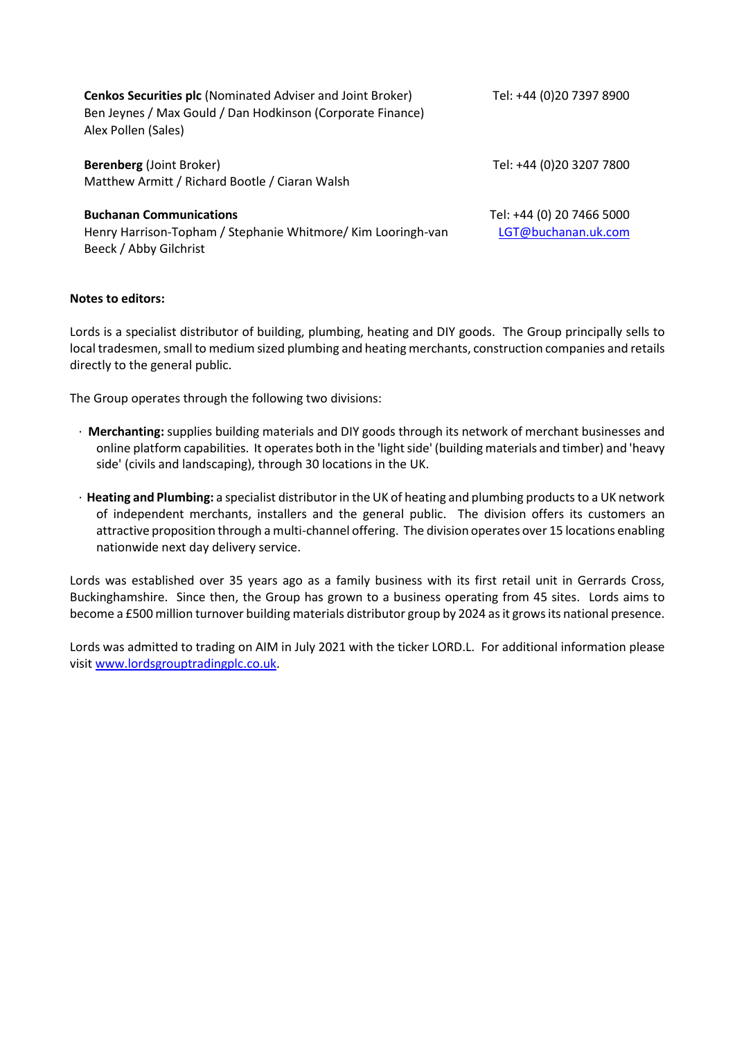| <b>Cenkos Securities plc</b> (Nominated Adviser and Joint Broker)<br>Ben Jeynes / Max Gould / Dan Hodkinson (Corporate Finance)<br>Alex Pollen (Sales) | Tel: +44 (0)20 7397 8900                         |
|--------------------------------------------------------------------------------------------------------------------------------------------------------|--------------------------------------------------|
| <b>Berenberg</b> (Joint Broker)<br>Matthew Armitt / Richard Bootle / Ciaran Walsh                                                                      | Tel: +44 (0)20 3207 7800                         |
| <b>Buchanan Communications</b><br>Henry Harrison-Topham / Stephanie Whitmore/ Kim Looringh-van<br>Beeck / Abby Gilchrist                               | Tel: +44 (0) 20 7466 5000<br>LGT@buchanan.uk.com |

# **Notes to editors:**

Lords is a specialist distributor of building, plumbing, heating and DIY goods. The Group principally sells to local tradesmen, small to medium sized plumbing and heating merchants, construction companies and retails directly to the general public.

The Group operates through the following two divisions:

- · **Merchanting:** supplies building materials and DIY goods through its network of merchant businesses and online platform capabilities. It operates both in the 'light side' (building materials and timber) and 'heavy side' (civils and landscaping), through 30 locations in the UK.
- · **Heating and Plumbing:** a specialist distributor in the UK of heating and plumbing products to a UK network of independent merchants, installers and the general public. The division offers its customers an attractive proposition through a multi-channel offering. The division operates over 15 locations enabling nationwide next day delivery service.

Lords was established over 35 years ago as a family business with its first retail unit in Gerrards Cross, Buckinghamshire. Since then, the Group has grown to a business operating from 45 sites. Lords aims to become a £500 million turnover building materials distributor group by 2024 as it grows its national presence.

Lords was admitted to trading on AIM in July 2021 with the ticker LORD.L. For additional information please visit [www.lordsgrouptradingplc.co.uk.](http://www.lordsgrouptradingplc.co.uk/)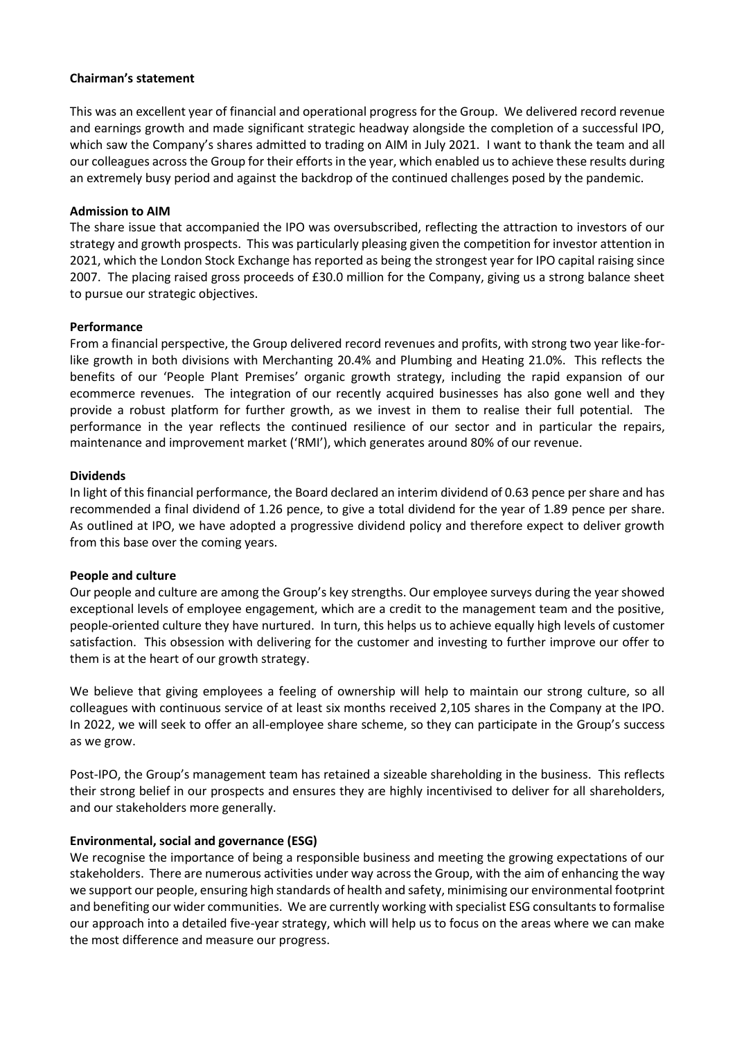### **Chairman's statement**

This was an excellent year of financial and operational progress for the Group. We delivered record revenue and earnings growth and made significant strategic headway alongside the completion of a successful IPO, which saw the Company's shares admitted to trading on AIM in July 2021. I want to thank the team and all our colleagues across the Group for their efforts in the year, which enabled us to achieve these results during an extremely busy period and against the backdrop of the continued challenges posed by the pandemic.

### **Admission to AIM**

The share issue that accompanied the IPO was oversubscribed, reflecting the attraction to investors of our strategy and growth prospects. This was particularly pleasing given the competition for investor attention in 2021, which the London Stock Exchange has reported as being the strongest year for IPO capital raising since 2007. The placing raised gross proceeds of £30.0 million for the Company, giving us a strong balance sheet to pursue our strategic objectives.

### **Performance**

From a financial perspective, the Group delivered record revenues and profits, with strong two year like-forlike growth in both divisions with Merchanting 20.4% and Plumbing and Heating 21.0%. This reflects the benefits of our 'People Plant Premises' organic growth strategy, including the rapid expansion of our ecommerce revenues. The integration of our recently acquired businesses has also gone well and they provide a robust platform for further growth, as we invest in them to realise their full potential. The performance in the year reflects the continued resilience of our sector and in particular the repairs, maintenance and improvement market ('RMI'), which generates around 80% of our revenue.

### **Dividends**

In light of this financial performance, the Board declared an interim dividend of 0.63 pence per share and has recommended a final dividend of 1.26 pence, to give a total dividend for the year of 1.89 pence per share. As outlined at IPO, we have adopted a progressive dividend policy and therefore expect to deliver growth from this base over the coming years.

### **People and culture**

Our people and culture are among the Group's key strengths. Our employee surveys during the year showed exceptional levels of employee engagement, which are a credit to the management team and the positive, people-oriented culture they have nurtured. In turn, this helps us to achieve equally high levels of customer satisfaction. This obsession with delivering for the customer and investing to further improve our offer to them is at the heart of our growth strategy.

We believe that giving employees a feeling of ownership will help to maintain our strong culture, so all colleagues with continuous service of at least six months received 2,105 shares in the Company at the IPO. In 2022, we will seek to offer an all-employee share scheme, so they can participate in the Group's success as we grow.

Post-IPO, the Group's management team has retained a sizeable shareholding in the business. This reflects their strong belief in our prospects and ensures they are highly incentivised to deliver for all shareholders, and our stakeholders more generally.

# **Environmental, social and governance (ESG)**

We recognise the importance of being a responsible business and meeting the growing expectations of our stakeholders. There are numerous activities under way across the Group, with the aim of enhancing the way we support our people, ensuring high standards of health and safety, minimising our environmental footprint and benefiting our wider communities. We are currently working with specialist ESG consultants to formalise our approach into a detailed five-year strategy, which will help us to focus on the areas where we can make the most difference and measure our progress.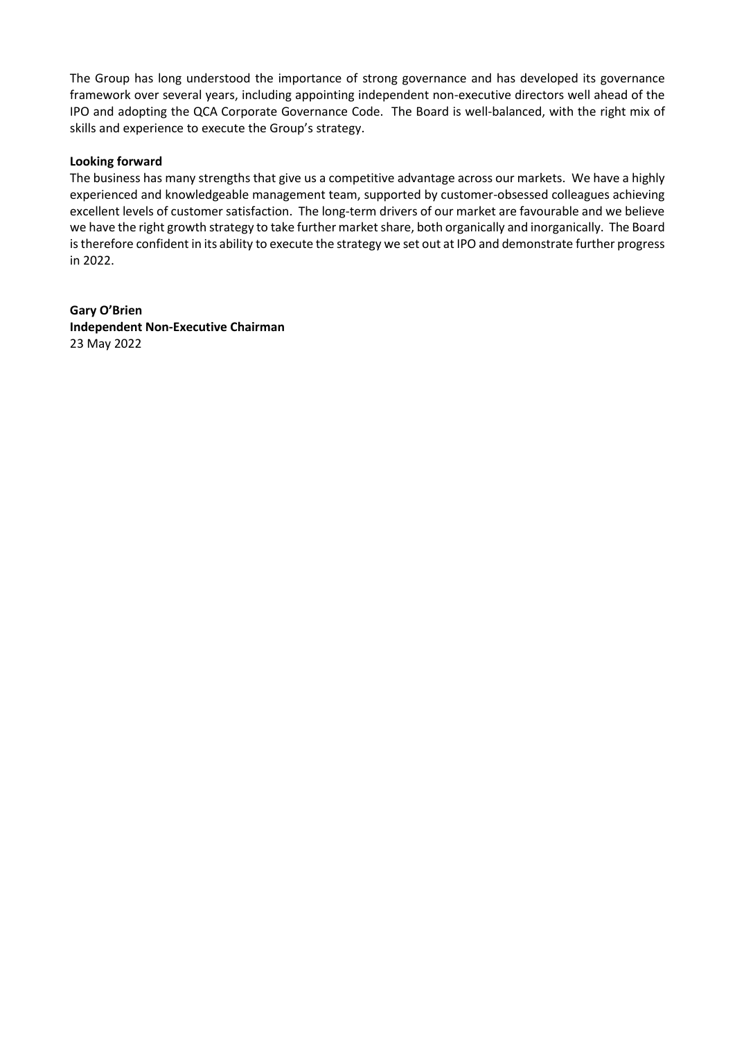The Group has long understood the importance of strong governance and has developed its governance framework over several years, including appointing independent non-executive directors well ahead of the IPO and adopting the QCA Corporate Governance Code. The Board is well-balanced, with the right mix of skills and experience to execute the Group's strategy.

# **Looking forward**

The business has many strengths that give us a competitive advantage across our markets. We have a highly experienced and knowledgeable management team, supported by customer-obsessed colleagues achieving excellent levels of customer satisfaction. The long-term drivers of our market are favourable and we believe we have the right growth strategy to take further market share, both organically and inorganically. The Board is therefore confident in its ability to execute the strategy we set out at IPO and demonstrate further progress in 2022.

**Gary O'Brien Independent Non-Executive Chairman** 23 May 2022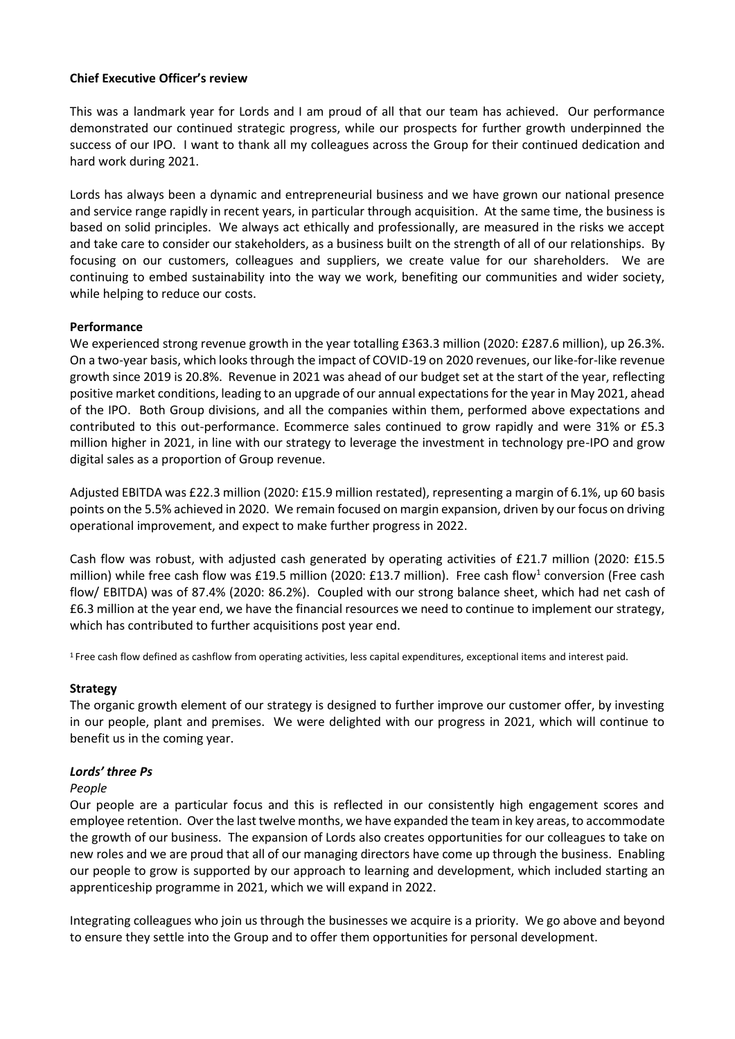# **Chief Executive Officer's review**

This was a landmark year for Lords and I am proud of all that our team has achieved. Our performance demonstrated our continued strategic progress, while our prospects for further growth underpinned the success of our IPO. I want to thank all my colleagues across the Group for their continued dedication and hard work during 2021.

Lords has always been a dynamic and entrepreneurial business and we have grown our national presence and service range rapidly in recent years, in particular through acquisition. At the same time, the business is based on solid principles. We always act ethically and professionally, are measured in the risks we accept and take care to consider our stakeholders, as a business built on the strength of all of our relationships. By focusing on our customers, colleagues and suppliers, we create value for our shareholders. We are continuing to embed sustainability into the way we work, benefiting our communities and wider society, while helping to reduce our costs.

# **Performance**

We experienced strong revenue growth in the year totalling £363.3 million (2020: £287.6 million), up 26.3%. On a two-year basis, which looks through the impact of COVID-19 on 2020 revenues, our like-for-like revenue growth since 2019 is 20.8%. Revenue in 2021 was ahead of our budget set at the start of the year, reflecting positive market conditions, leading to an upgrade of our annual expectations for the year in May 2021, ahead of the IPO. Both Group divisions, and all the companies within them, performed above expectations and contributed to this out-performance. Ecommerce sales continued to grow rapidly and were 31% or £5.3 million higher in 2021, in line with our strategy to leverage the investment in technology pre-IPO and grow digital sales as a proportion of Group revenue.

Adjusted EBITDA was £22.3 million (2020: £15.9 million restated), representing a margin of 6.1%, up 60 basis points on the 5.5% achieved in 2020. We remain focused on margin expansion, driven by our focus on driving operational improvement, and expect to make further progress in 2022.

Cash flow was robust, with adjusted cash generated by operating activities of £21.7 million (2020: £15.5 million) while free cash flow was £19.5 million (2020: £13.7 million). Free cash flow<sup>1</sup> conversion (Free cash flow/ EBITDA) was of 87.4% (2020: 86.2%). Coupled with our strong balance sheet, which had net cash of £6.3 million at the year end, we have the financial resources we need to continue to implement our strategy, which has contributed to further acquisitions post year end.

<sup>1</sup> Free cash flow defined as cashflow from operating activities, less capital expenditures, exceptional items and interest paid.

# **Strategy**

The organic growth element of our strategy is designed to further improve our customer offer, by investing in our people, plant and premises. We were delighted with our progress in 2021, which will continue to benefit us in the coming year.

# *Lords' three Ps*

# *People*

Our people are a particular focus and this is reflected in our consistently high engagement scores and employee retention. Over the last twelve months, we have expanded the team in key areas, to accommodate the growth of our business. The expansion of Lords also creates opportunities for our colleagues to take on new roles and we are proud that all of our managing directors have come up through the business. Enabling our people to grow is supported by our approach to learning and development, which included starting an apprenticeship programme in 2021, which we will expand in 2022.

Integrating colleagues who join us through the businesses we acquire is a priority. We go above and beyond to ensure they settle into the Group and to offer them opportunities for personal development.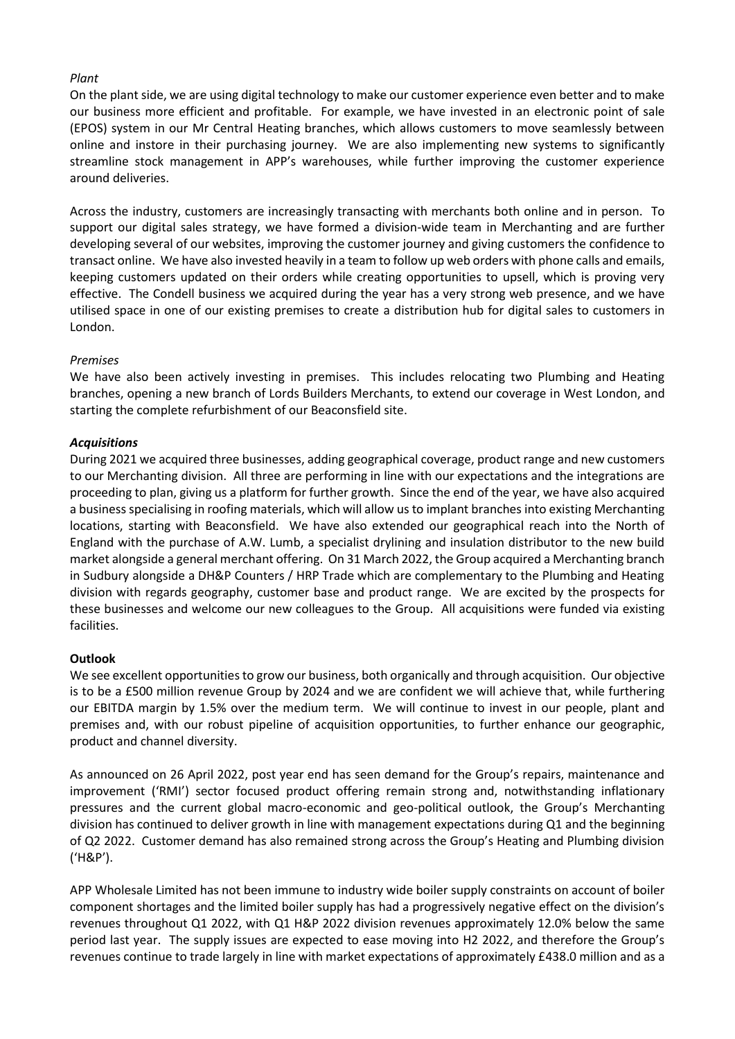# *Plant*

On the plant side, we are using digital technology to make our customer experience even better and to make our business more efficient and profitable. For example, we have invested in an electronic point of sale (EPOS) system in our Mr Central Heating branches, which allows customers to move seamlessly between online and instore in their purchasing journey. We are also implementing new systems to significantly streamline stock management in APP's warehouses, while further improving the customer experience around deliveries.

Across the industry, customers are increasingly transacting with merchants both online and in person. To support our digital sales strategy, we have formed a division-wide team in Merchanting and are further developing several of our websites, improving the customer journey and giving customers the confidence to transact online. We have also invested heavily in a team to follow up web orders with phone calls and emails, keeping customers updated on their orders while creating opportunities to upsell, which is proving very effective. The Condell business we acquired during the year has a very strong web presence, and we have utilised space in one of our existing premises to create a distribution hub for digital sales to customers in London.

# *Premises*

We have also been actively investing in premises. This includes relocating two Plumbing and Heating branches, opening a new branch of Lords Builders Merchants, to extend our coverage in West London, and starting the complete refurbishment of our Beaconsfield site.

# *Acquisitions*

During 2021 we acquired three businesses, adding geographical coverage, product range and new customers to our Merchanting division. All three are performing in line with our expectations and the integrations are proceeding to plan, giving us a platform for further growth. Since the end of the year, we have also acquired a business specialising in roofing materials, which will allow us to implant branches into existing Merchanting locations, starting with Beaconsfield. We have also extended our geographical reach into the North of England with the purchase of A.W. Lumb, a specialist drylining and insulation distributor to the new build market alongside a general merchant offering. On 31 March 2022, the Group acquired a Merchanting branch in Sudbury alongside a DH&P Counters / HRP Trade which are complementary to the Plumbing and Heating division with regards geography, customer base and product range. We are excited by the prospects for these businesses and welcome our new colleagues to the Group. All acquisitions were funded via existing facilities.

# **Outlook**

We see excellent opportunities to grow our business, both organically and through acquisition. Our objective is to be a £500 million revenue Group by 2024 and we are confident we will achieve that, while furthering our EBITDA margin by 1.5% over the medium term. We will continue to invest in our people, plant and premises and, with our robust pipeline of acquisition opportunities, to further enhance our geographic, product and channel diversity.

As announced on 26 April 2022, post year end has seen demand for the Group's repairs, maintenance and improvement ('RMI') sector focused product offering remain strong and, notwithstanding inflationary pressures and the current global macro-economic and geo-political outlook, the Group's Merchanting division has continued to deliver growth in line with management expectations during Q1 and the beginning of Q2 2022. Customer demand has also remained strong across the Group's Heating and Plumbing division ('H&P').

APP Wholesale Limited has not been immune to industry wide boiler supply constraints on account of boiler component shortages and the limited boiler supply has had a progressively negative effect on the division's revenues throughout Q1 2022, with Q1 H&P 2022 division revenues approximately 12.0% below the same period last year. The supply issues are expected to ease moving into H2 2022, and therefore the Group's revenues continue to trade largely in line with market expectations of approximately £438.0 million and as a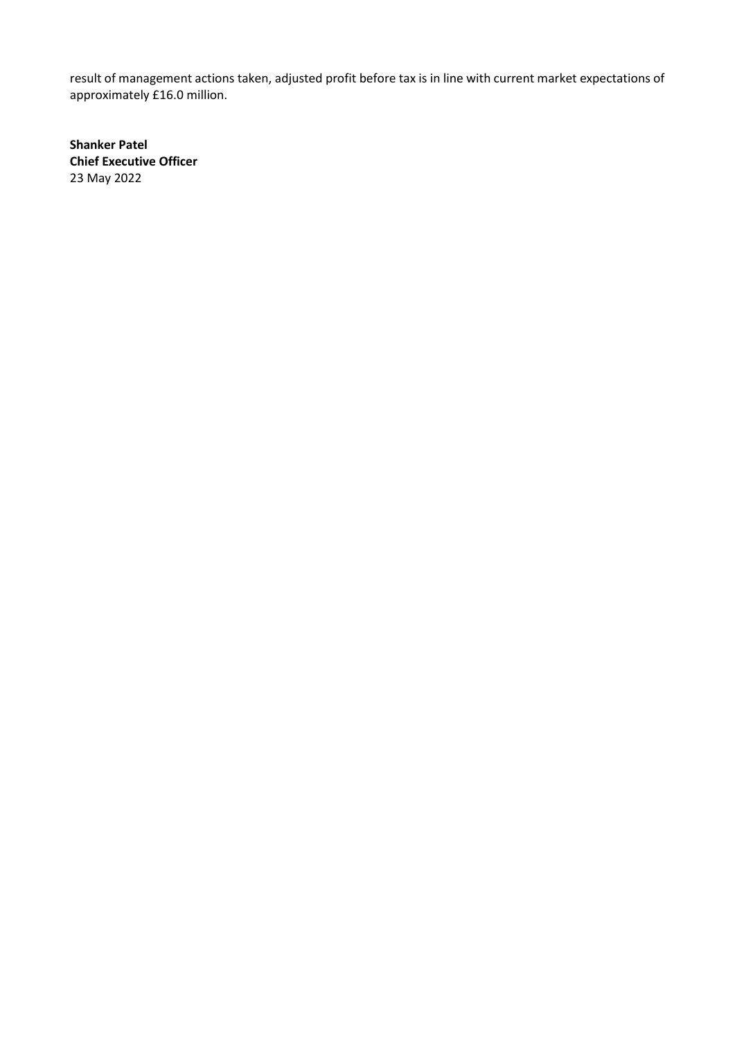result of management actions taken, adjusted profit before tax is in line with current market expectations of approximately £16.0 million.

**Shanker Patel Chief Executive Officer** 23 May 2022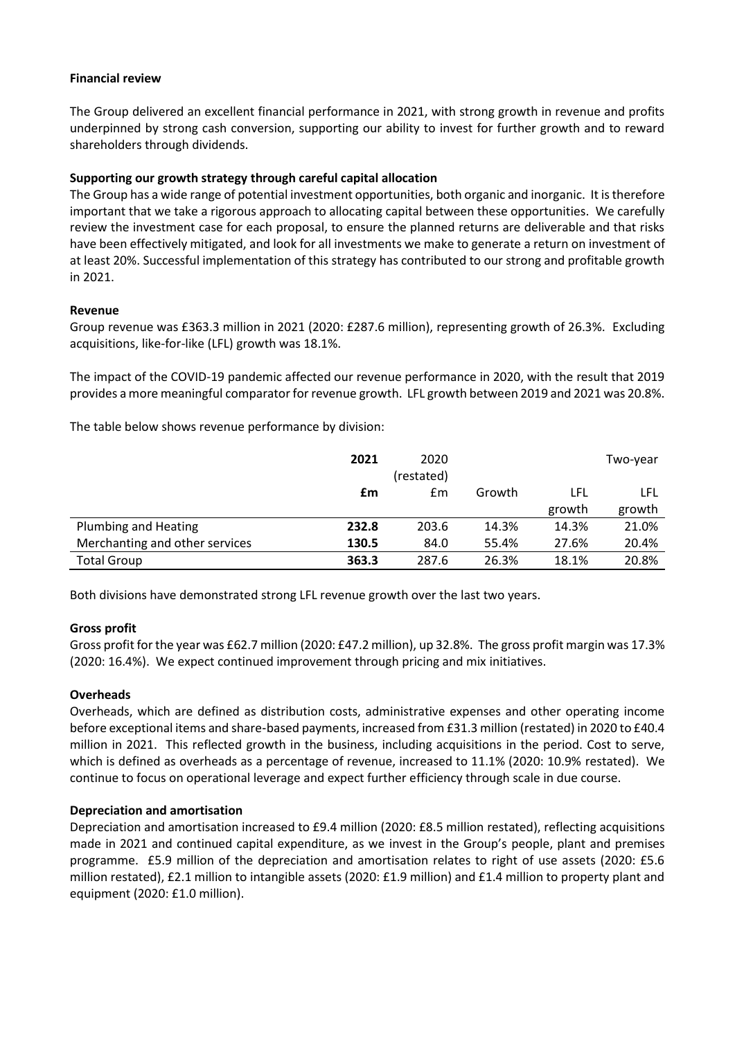# **Financial review**

The Group delivered an excellent financial performance in 2021, with strong growth in revenue and profits underpinned by strong cash conversion, supporting our ability to invest for further growth and to reward shareholders through dividends.

# **Supporting our growth strategy through careful capital allocation**

The Group has a wide range of potential investment opportunities, both organic and inorganic. It is therefore important that we take a rigorous approach to allocating capital between these opportunities. We carefully review the investment case for each proposal, to ensure the planned returns are deliverable and that risks have been effectively mitigated, and look for all investments we make to generate a return on investment of at least 20%. Successful implementation of this strategy has contributed to our strong and profitable growth in 2021.

# **Revenue**

Group revenue was £363.3 million in 2021 (2020: £287.6 million), representing growth of 26.3%. Excluding acquisitions, like-for-like (LFL) growth was 18.1%.

The impact of the COVID-19 pandemic affected our revenue performance in 2020, with the result that 2019 provides a more meaningful comparator for revenue growth. LFL growth between 2019 and 2021 was 20.8%.

The table below shows revenue performance by division:

|                                | 2021  | 2020<br>(restated) |        |        | Two-year |
|--------------------------------|-------|--------------------|--------|--------|----------|
|                                | £m    | Em                 | Growth | LFL    | LFL      |
|                                |       |                    |        | growth | growth   |
| <b>Plumbing and Heating</b>    | 232.8 | 203.6              | 14.3%  | 14.3%  | 21.0%    |
| Merchanting and other services | 130.5 | 84.0               | 55.4%  | 27.6%  | 20.4%    |
| <b>Total Group</b>             | 363.3 | 287.6              | 26.3%  | 18.1%  | 20.8%    |

Both divisions have demonstrated strong LFL revenue growth over the last two years.

# **Gross profit**

Gross profit for the year was £62.7 million (2020: £47.2 million), up 32.8%. The gross profit margin was 17.3% (2020: 16.4%). We expect continued improvement through pricing and mix initiatives.

# **Overheads**

Overheads, which are defined as distribution costs, administrative expenses and other operating income before exceptional items and share‑based payments, increased from £31.3 million (restated) in 2020 to £40.4 million in 2021. This reflected growth in the business, including acquisitions in the period. Cost to serve, which is defined as overheads as a percentage of revenue, increased to 11.1% (2020: 10.9% restated). We continue to focus on operational leverage and expect further efficiency through scale in due course.

# **Depreciation and amortisation**

Depreciation and amortisation increased to £9.4 million (2020: £8.5 million restated), reflecting acquisitions made in 2021 and continued capital expenditure, as we invest in the Group's people, plant and premises programme. £5.9 million of the depreciation and amortisation relates to right of use assets (2020: £5.6 million restated), £2.1 million to intangible assets (2020: £1.9 million) and £1.4 million to property plant and equipment (2020: £1.0 million).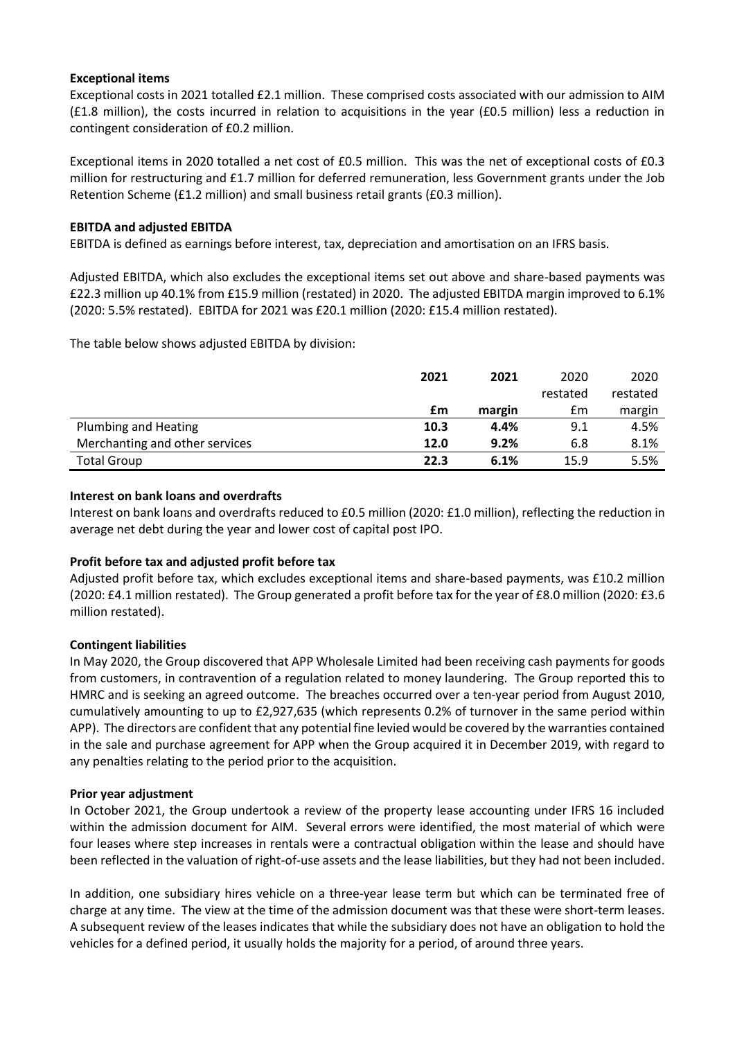# **Exceptional items**

Exceptional costs in 2021 totalled £2.1 million. These comprised costs associated with our admission to AIM (£1.8 million), the costs incurred in relation to acquisitions in the year (£0.5 million) less a reduction in contingent consideration of £0.2 million.

Exceptional items in 2020 totalled a net cost of £0.5 million. This was the net of exceptional costs of £0.3 million for restructuring and £1.7 million for deferred remuneration, less Government grants under the Job Retention Scheme (£1.2 million) and small business retail grants (£0.3 million).

# **EBITDA and adjusted EBITDA**

EBITDA is defined as earnings before interest, tax, depreciation and amortisation on an IFRS basis.

Adjusted EBITDA, which also excludes the exceptional items set out above and share-based payments was £22.3 million up 40.1% from £15.9 million (restated) in 2020. The adjusted EBITDA margin improved to 6.1% (2020: 5.5% restated). EBITDA for 2021 was £20.1 million (2020: £15.4 million restated).

The table below shows adjusted EBITDA by division:

|                                | 2021 | 2021   | 2020     | 2020     |
|--------------------------------|------|--------|----------|----------|
|                                |      |        | restated | restated |
|                                | £m   | margin | £m       | margin   |
| Plumbing and Heating           | 10.3 | 4.4%   | 9.1      | 4.5%     |
| Merchanting and other services | 12.0 | 9.2%   | 6.8      | 8.1%     |
| <b>Total Group</b>             | 22.3 | 6.1%   | 15.9     | 5.5%     |

# **Interest on bank loans and overdrafts**

Interest on bank loans and overdrafts reduced to £0.5 million (2020: £1.0 million), reflecting the reduction in average net debt during the year and lower cost of capital post IPO.

# **Profit before tax and adjusted profit before tax**

Adjusted profit before tax, which excludes exceptional items and share-based payments, was £10.2 million (2020: £4.1 million restated). The Group generated a profit before tax for the year of £8.0 million (2020: £3.6 million restated).

# **Contingent liabilities**

In May 2020, the Group discovered that APP Wholesale Limited had been receiving cash payments for goods from customers, in contravention of a regulation related to money laundering. The Group reported this to HMRC and is seeking an agreed outcome. The breaches occurred over a ten-year period from August 2010, cumulatively amounting to up to £2,927,635 (which represents 0.2% of turnover in the same period within APP). The directors are confident that any potential fine levied would be covered by the warranties contained in the sale and purchase agreement for APP when the Group acquired it in December 2019, with regard to any penalties relating to the period prior to the acquisition.

# **Prior year adjustment**

In October 2021, the Group undertook a review of the property lease accounting under IFRS 16 included within the admission document for AIM. Several errors were identified, the most material of which were four leases where step increases in rentals were a contractual obligation within the lease and should have been reflected in the valuation of right-of-use assets and the lease liabilities, but they had not been included.

In addition, one subsidiary hires vehicle on a three-year lease term but which can be terminated free of charge at any time. The view at the time of the admission document was that these were short-term leases. A subsequent review of the leases indicates that while the subsidiary does not have an obligation to hold the vehicles for a defined period, it usually holds the majority for a period, of around three years.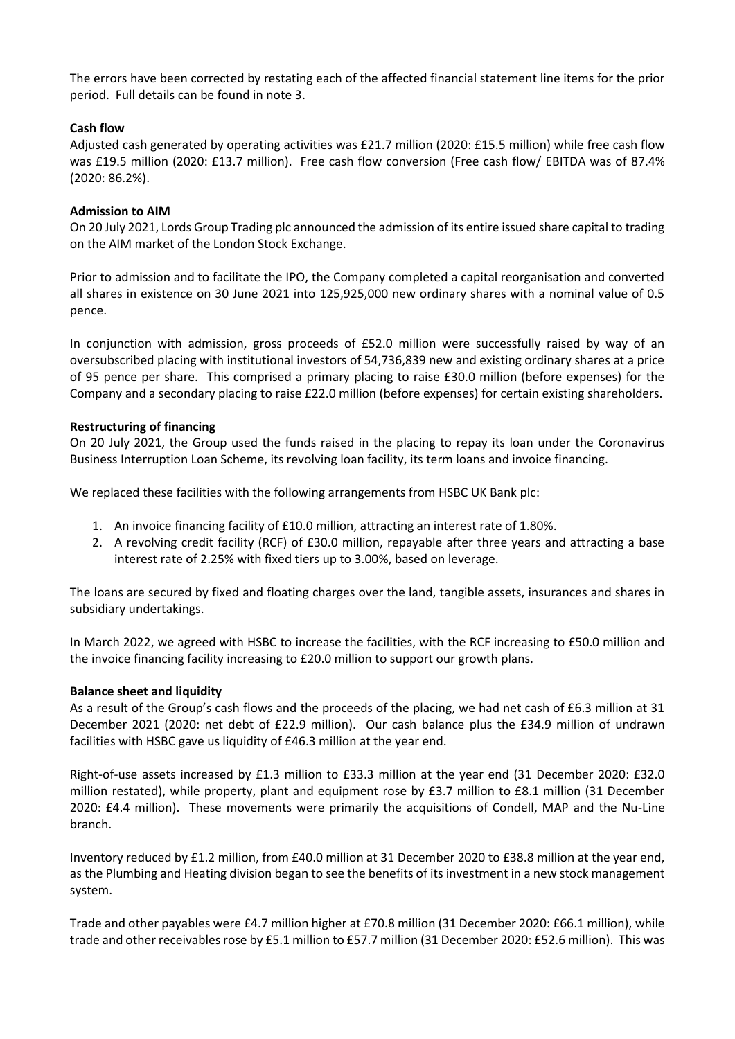The errors have been corrected by restating each of the affected financial statement line items for the prior period. Full details can be found in note 3.

# **Cash flow**

Adjusted cash generated by operating activities was £21.7 million (2020: £15.5 million) while free cash flow was £19.5 million (2020: £13.7 million). Free cash flow conversion (Free cash flow/ EBITDA was of 87.4% (2020: 86.2%).

# **Admission to AIM**

On 20 July 2021, Lords Group Trading plc announced the admission of its entire issued share capital to trading on the AIM market of the London Stock Exchange.

Prior to admission and to facilitate the IPO, the Company completed a capital reorganisation and converted all shares in existence on 30 June 2021 into 125,925,000 new ordinary shares with a nominal value of 0.5 pence.

In conjunction with admission, gross proceeds of £52.0 million were successfully raised by way of an oversubscribed placing with institutional investors of 54,736,839 new and existing ordinary shares at a price of 95 pence per share. This comprised a primary placing to raise £30.0 million (before expenses) for the Company and a secondary placing to raise £22.0 million (before expenses) for certain existing shareholders.

# **Restructuring of financing**

On 20 July 2021, the Group used the funds raised in the placing to repay its loan under the Coronavirus Business Interruption Loan Scheme, its revolving loan facility, its term loans and invoice financing.

We replaced these facilities with the following arrangements from HSBC UK Bank plc:

- 1. An invoice financing facility of £10.0 million, attracting an interest rate of 1.80%.
- 2. A revolving credit facility (RCF) of £30.0 million, repayable after three years and attracting a base interest rate of 2.25% with fixed tiers up to 3.00%, based on leverage.

The loans are secured by fixed and floating charges over the land, tangible assets, insurances and shares in subsidiary undertakings.

In March 2022, we agreed with HSBC to increase the facilities, with the RCF increasing to £50.0 million and the invoice financing facility increasing to £20.0 million to support our growth plans.

# **Balance sheet and liquidity**

As a result of the Group's cash flows and the proceeds of the placing, we had net cash of £6.3 million at 31 December 2021 (2020: net debt of £22.9 million). Our cash balance plus the £34.9 million of undrawn facilities with HSBC gave us liquidity of £46.3 million at the year end.

Right-of-use assets increased by £1.3 million to £33.3 million at the year end (31 December 2020: £32.0 million restated), while property, plant and equipment rose by £3.7 million to £8.1 million (31 December 2020: £4.4 million). These movements were primarily the acquisitions of Condell, MAP and the Nu-Line branch.

Inventory reduced by £1.2 million, from £40.0 million at 31 December 2020 to £38.8 million at the year end, as the Plumbing and Heating division began to see the benefits of its investment in a new stock management system.

Trade and other payables were £4.7 million higher at £70.8 million (31 December 2020: £66.1 million), while trade and other receivables rose by £5.1 million to £57.7 million (31 December 2020: £52.6 million). This was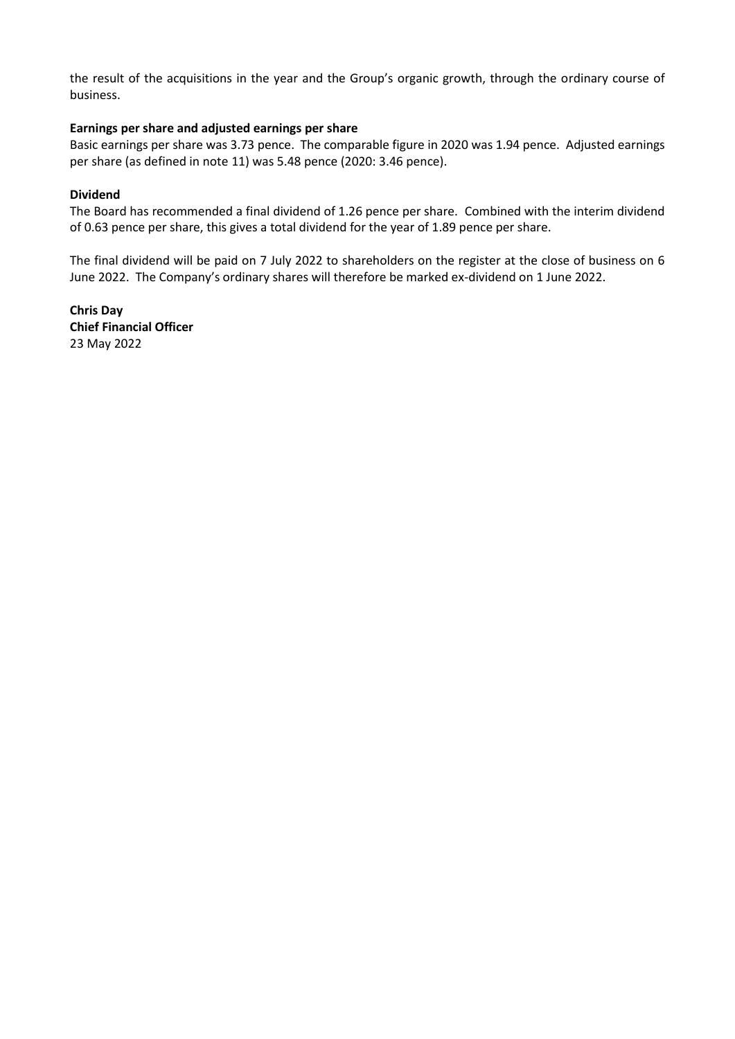the result of the acquisitions in the year and the Group's organic growth, through the ordinary course of business.

# **Earnings per share and adjusted earnings per share**

Basic earnings per share was 3.73 pence. The comparable figure in 2020 was 1.94 pence. Adjusted earnings per share (as defined in note 11) was 5.48 pence (2020: 3.46 pence).

# **Dividend**

The Board has recommended a final dividend of 1.26 pence per share. Combined with the interim dividend of 0.63 pence per share, this gives a total dividend for the year of 1.89 pence per share.

The final dividend will be paid on 7 July 2022 to shareholders on the register at the close of business on 6 June 2022. The Company's ordinary shares will therefore be marked ex-dividend on 1 June 2022.

**Chris Day Chief Financial Officer** 23 May 2022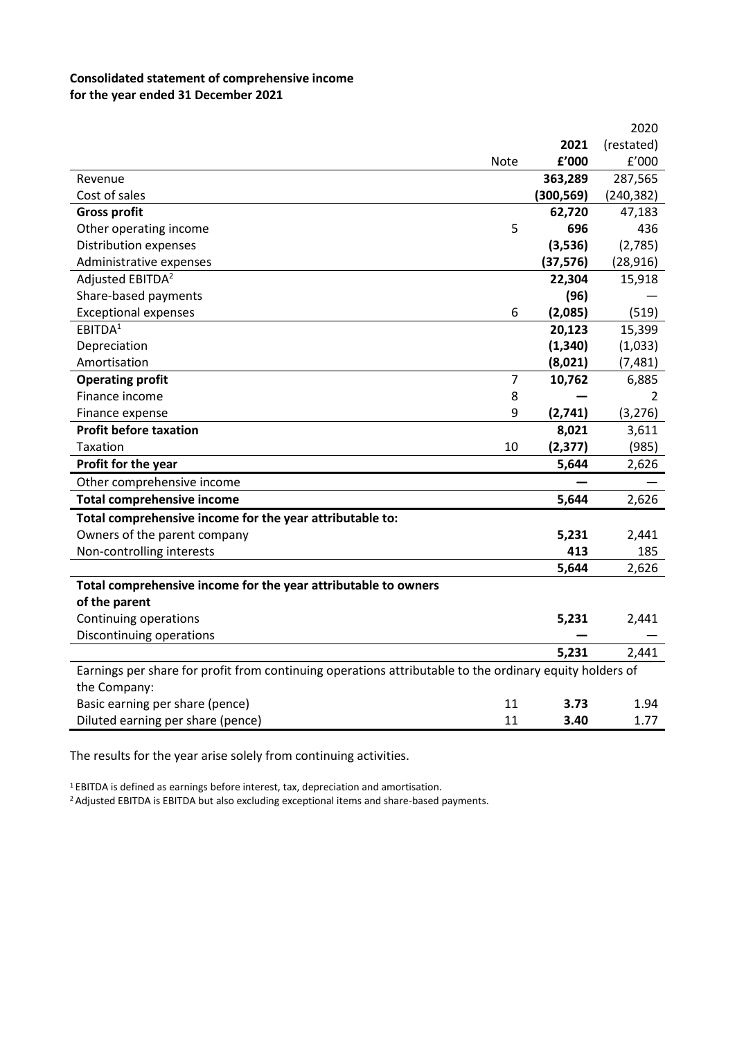# **Consolidated statement of comprehensive income for the year ended 31 December 2021**

|                                                                                                         |      |            | 2020       |
|---------------------------------------------------------------------------------------------------------|------|------------|------------|
|                                                                                                         |      | 2021       | (restated) |
|                                                                                                         | Note | £'000      | £'000      |
| Revenue                                                                                                 |      | 363,289    | 287,565    |
| Cost of sales                                                                                           |      | (300, 569) | (240, 382) |
| <b>Gross profit</b>                                                                                     |      | 62,720     | 47,183     |
| Other operating income                                                                                  | 5    | 696        | 436        |
| Distribution expenses                                                                                   |      | (3,536)    | (2,785)    |
| Administrative expenses                                                                                 |      | (37, 576)  | (28, 916)  |
| Adjusted EBITDA <sup>2</sup>                                                                            |      | 22,304     | 15,918     |
| Share-based payments                                                                                    |      | (96)       |            |
| <b>Exceptional expenses</b>                                                                             | 6    | (2,085)    | (519)      |
| EBITDA <sup>1</sup>                                                                                     |      | 20,123     | 15,399     |
| Depreciation                                                                                            |      | (1, 340)   | (1,033)    |
| Amortisation                                                                                            |      | (8,021)    | (7, 481)   |
| <b>Operating profit</b>                                                                                 | 7    | 10,762     | 6,885      |
| Finance income                                                                                          | 8    |            | 2          |
| Finance expense                                                                                         | 9    | (2,741)    | (3, 276)   |
| <b>Profit before taxation</b>                                                                           |      | 8,021      | 3,611      |
| Taxation                                                                                                | 10   | (2, 377)   | (985)      |
| Profit for the year                                                                                     |      | 5,644      | 2,626      |
| Other comprehensive income                                                                              |      |            |            |
| <b>Total comprehensive income</b>                                                                       |      | 5,644      | 2,626      |
| Total comprehensive income for the year attributable to:                                                |      |            |            |
| Owners of the parent company                                                                            |      | 5,231      | 2,441      |
| Non-controlling interests                                                                               |      | 413        | 185        |
|                                                                                                         |      | 5,644      | 2,626      |
| Total comprehensive income for the year attributable to owners                                          |      |            |            |
| of the parent                                                                                           |      |            |            |
| Continuing operations                                                                                   |      | 5,231      | 2,441      |
| Discontinuing operations                                                                                |      |            |            |
|                                                                                                         |      | 5,231      | 2,441      |
| Earnings per share for profit from continuing operations attributable to the ordinary equity holders of |      |            |            |
| the Company:                                                                                            |      |            |            |
| Basic earning per share (pence)                                                                         | 11   | 3.73       | 1.94       |
| Diluted earning per share (pence)                                                                       | 11   | 3.40       | 1.77       |

The results for the year arise solely from continuing activities.

<sup>1</sup>EBITDA is defined as earnings before interest, tax, depreciation and amortisation.

<sup>2</sup> Adjusted EBITDA is EBITDA but also excluding exceptional items and share-based payments.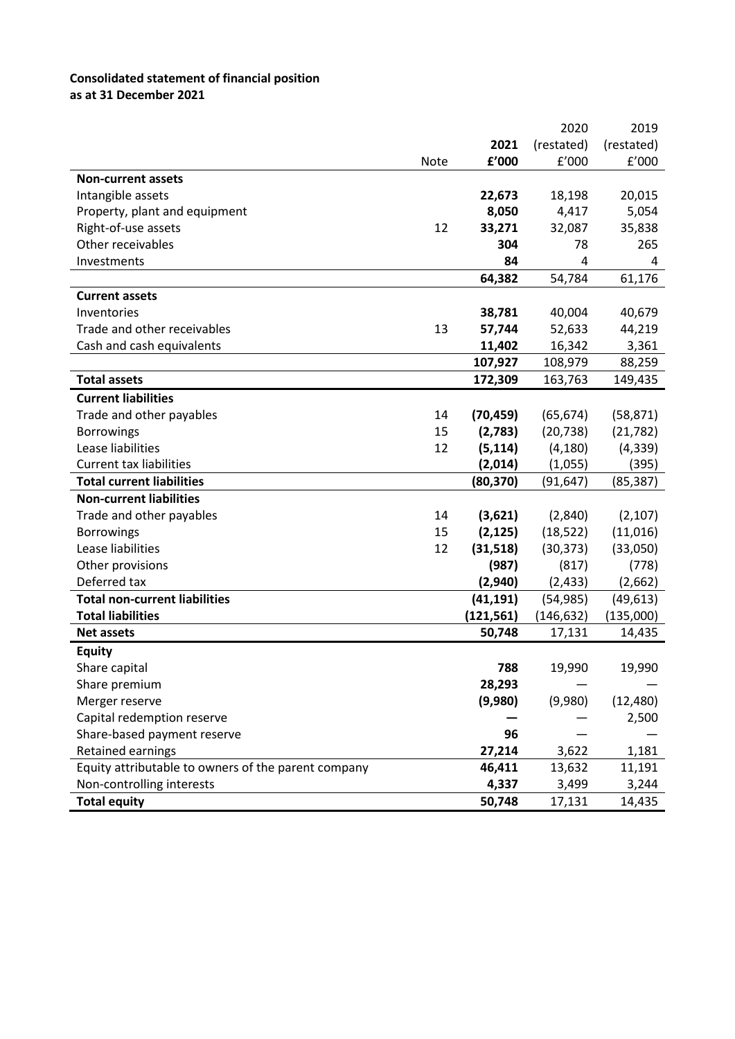# **Consolidated statement of financial position**

**as at 31 December 2021**

|                                                     |             |            | 2020       | 2019       |
|-----------------------------------------------------|-------------|------------|------------|------------|
|                                                     |             | 2021       | (restated) | (restated) |
|                                                     | <b>Note</b> | £'000      | f'000      | f'000      |
| <b>Non-current assets</b>                           |             |            |            |            |
| Intangible assets                                   |             | 22,673     | 18,198     | 20,015     |
| Property, plant and equipment                       |             | 8,050      | 4,417      | 5,054      |
| Right-of-use assets                                 | 12          | 33,271     | 32,087     | 35,838     |
| Other receivables                                   |             | 304        | 78         | 265        |
| Investments                                         |             | 84         | 4          | 4          |
|                                                     |             | 64,382     | 54,784     | 61,176     |
| <b>Current assets</b>                               |             |            |            |            |
| Inventories                                         |             | 38,781     | 40,004     | 40,679     |
| Trade and other receivables                         | 13          | 57,744     | 52,633     | 44,219     |
| Cash and cash equivalents                           |             | 11,402     | 16,342     | 3,361      |
|                                                     |             | 107,927    | 108,979    | 88,259     |
| <b>Total assets</b>                                 |             | 172,309    | 163,763    | 149,435    |
| <b>Current liabilities</b>                          |             |            |            |            |
| Trade and other payables                            | 14          | (70, 459)  | (65, 674)  | (58, 871)  |
| <b>Borrowings</b>                                   | 15          | (2,783)    | (20, 738)  | (21, 782)  |
| Lease liabilities                                   | 12          | (5, 114)   | (4, 180)   | (4, 339)   |
| <b>Current tax liabilities</b>                      |             | (2,014)    | (1,055)    | (395)      |
| <b>Total current liabilities</b>                    |             | (80, 370)  | (91, 647)  | (85, 387)  |
| <b>Non-current liabilities</b>                      |             |            |            |            |
| Trade and other payables                            | 14          | (3,621)    | (2,840)    | (2, 107)   |
| <b>Borrowings</b>                                   | 15          | (2, 125)   | (18, 522)  | (11, 016)  |
| Lease liabilities                                   | 12          | (31,518)   | (30, 373)  | (33,050)   |
| Other provisions                                    |             | (987)      | (817)      | (778)      |
| Deferred tax                                        |             | (2,940)    | (2, 433)   | (2,662)    |
| <b>Total non-current liabilities</b>                |             | (41, 191)  | (54, 985)  | (49, 613)  |
| <b>Total liabilities</b>                            |             | (121, 561) | (146, 632) | (135,000)  |
| <b>Net assets</b>                                   |             | 50,748     | 17,131     | 14,435     |
| <b>Equity</b>                                       |             |            |            |            |
| Share capital                                       |             | 788        | 19,990     | 19,990     |
| Share premium                                       |             | 28,293     |            |            |
| Merger reserve                                      |             | (9,980)    | (9,980)    | (12, 480)  |
| Capital redemption reserve                          |             |            |            | 2,500      |
| Share-based payment reserve                         |             | 96         |            |            |
| Retained earnings                                   |             | 27,214     | 3,622      | 1,181      |
| Equity attributable to owners of the parent company |             | 46,411     | 13,632     | 11,191     |
| Non-controlling interests                           |             | 4,337      | 3,499      | 3,244      |
| <b>Total equity</b>                                 |             | 50,748     | 17,131     | 14,435     |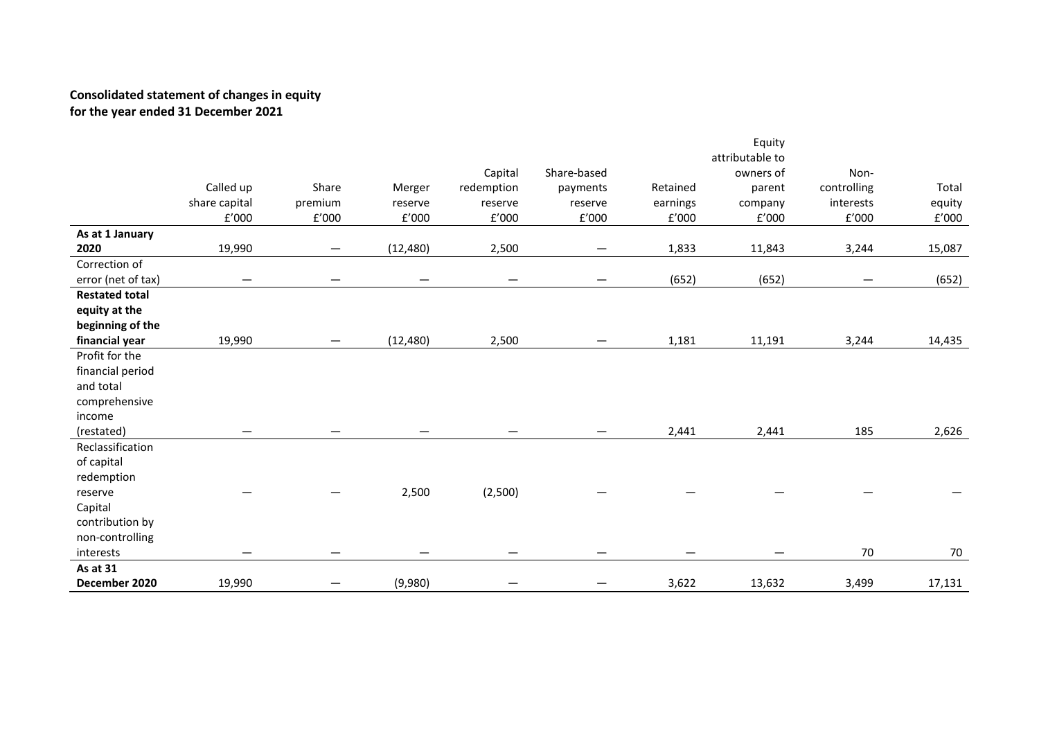# **Consolidated statement of changes in equity for the year ended 31 December 2021**

|                       |                   |                 |           |                          |             |          | Equity          |             |        |
|-----------------------|-------------------|-----------------|-----------|--------------------------|-------------|----------|-----------------|-------------|--------|
|                       |                   |                 |           |                          |             |          | attributable to |             |        |
|                       |                   |                 |           | Capital                  | Share-based |          | owners of       | Non-        |        |
|                       | Called up         | Share           | Merger    | redemption               | payments    | Retained | parent          | controlling | Total  |
|                       | share capital     | premium         | reserve   | reserve                  | reserve     | earnings | company         | interests   | equity |
|                       | f'000             | £'000           | E'000     | f'000                    | E'000       | f'000    | f'000           | f'000       | E'000  |
| As at 1 January       |                   |                 |           |                          |             |          |                 |             |        |
| 2020                  | 19,990            | $\qquad \qquad$ | (12, 480) | 2,500                    | —           | 1,833    | 11,843          | 3,244       | 15,087 |
| Correction of         |                   |                 |           |                          |             |          |                 |             |        |
| error (net of tax)    | $\qquad \qquad -$ |                 | —         | $\overline{\phantom{0}}$ | —           | (652)    | (652)           |             | (652)  |
| <b>Restated total</b> |                   |                 |           |                          |             |          |                 |             |        |
| equity at the         |                   |                 |           |                          |             |          |                 |             |        |
| beginning of the      |                   |                 |           |                          |             |          |                 |             |        |
| financial year        | 19,990            |                 | (12, 480) | 2,500                    |             | 1,181    | 11,191          | 3,244       | 14,435 |
| Profit for the        |                   |                 |           |                          |             |          |                 |             |        |
| financial period      |                   |                 |           |                          |             |          |                 |             |        |
| and total             |                   |                 |           |                          |             |          |                 |             |        |
| comprehensive         |                   |                 |           |                          |             |          |                 |             |        |
| income                |                   |                 |           |                          |             |          |                 |             |        |
| (restated)            |                   |                 |           |                          |             | 2,441    | 2,441           | 185         | 2,626  |
| Reclassification      |                   |                 |           |                          |             |          |                 |             |        |
| of capital            |                   |                 |           |                          |             |          |                 |             |        |
| redemption            |                   |                 |           |                          |             |          |                 |             |        |
| reserve               |                   |                 | 2,500     | (2,500)                  |             |          |                 |             |        |
| Capital               |                   |                 |           |                          |             |          |                 |             |        |
| contribution by       |                   |                 |           |                          |             |          |                 |             |        |
| non-controlling       |                   |                 |           |                          |             |          |                 |             |        |
| interests             | —                 |                 |           |                          |             |          |                 | 70          | 70     |
| As at 31              |                   |                 |           |                          |             |          |                 |             |        |
| December 2020         | 19,990            |                 | (9,980)   |                          |             | 3,622    | 13,632          | 3,499       | 17,131 |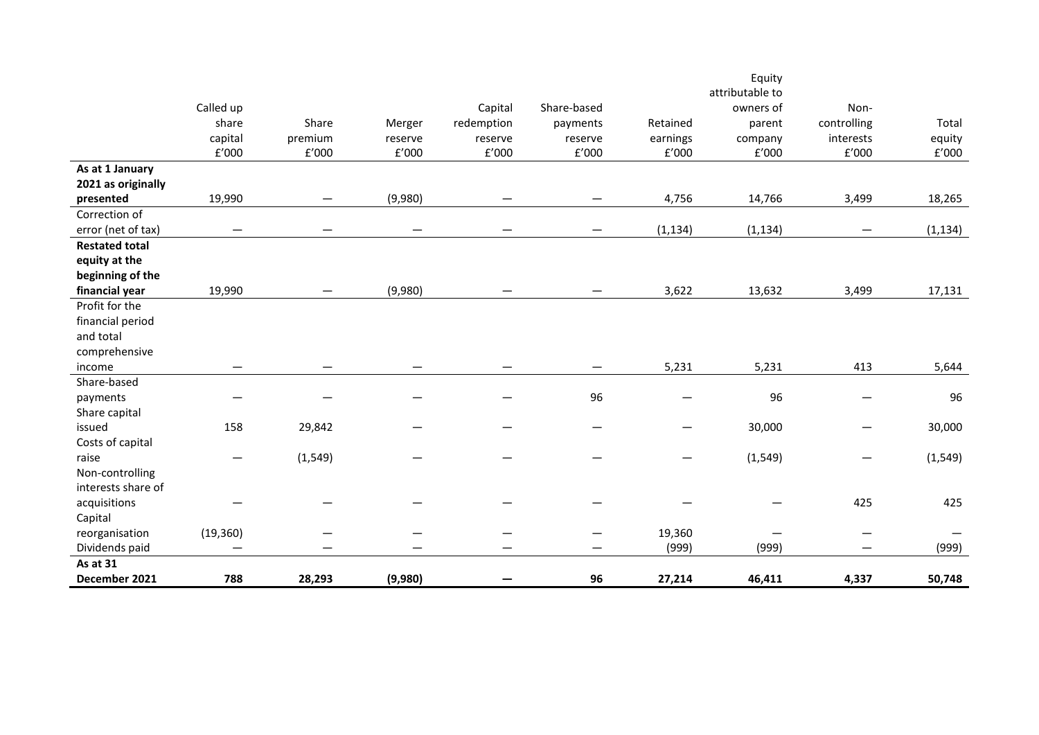|                       |                   |                          |              |              |              |                                | Equity          |                                |          |
|-----------------------|-------------------|--------------------------|--------------|--------------|--------------|--------------------------------|-----------------|--------------------------------|----------|
|                       |                   |                          |              |              |              |                                | attributable to |                                |          |
|                       | Called up         |                          |              | Capital      | Share-based  |                                | owners of       | Non-                           |          |
|                       | share             | Share                    | Merger       | redemption   | payments     | Retained                       | parent          | controlling                    | Total    |
|                       | capital           | premium                  | reserve      | reserve      | reserve      | earnings                       | company         | interests                      | equity   |
|                       | f'000             | $\rm{f}'000$             | $\rm{f}'000$ | $\rm{f}'000$ | $\rm{f}'000$ | $\text{f}'000$                 | $\rm{f}'000$    | f'000                          | f'000    |
| As at 1 January       |                   |                          |              |              |              |                                |                 |                                |          |
| 2021 as originally    |                   |                          |              |              |              |                                |                 |                                |          |
| presented             | 19,990            | —                        | (9,980)      |              |              | 4,756                          | 14,766          | 3,499                          | 18,265   |
| Correction of         |                   |                          |              |              |              |                                |                 |                                |          |
| error (net of tax)    |                   |                          |              |              |              | (1, 134)                       | (1, 134)        |                                | (1, 134) |
| <b>Restated total</b> |                   |                          |              |              |              |                                |                 |                                |          |
| equity at the         |                   |                          |              |              |              |                                |                 |                                |          |
| beginning of the      |                   |                          |              |              |              |                                |                 |                                |          |
| financial year        | 19,990            | $\overline{\phantom{0}}$ | (9,980)      |              |              | 3,622                          | 13,632          | 3,499                          | 17,131   |
| Profit for the        |                   |                          |              |              |              |                                |                 |                                |          |
| financial period      |                   |                          |              |              |              |                                |                 |                                |          |
| and total             |                   |                          |              |              |              |                                |                 |                                |          |
| comprehensive         |                   |                          |              |              |              |                                |                 |                                |          |
| income                |                   |                          |              |              |              | 5,231                          | 5,231           | 413                            | 5,644    |
| Share-based           |                   |                          |              |              |              |                                |                 |                                |          |
| payments              |                   |                          |              |              | 96           | —                              | 96              | $\qquad \qquad \longleftarrow$ | 96       |
| Share capital         |                   |                          |              |              |              |                                |                 |                                |          |
| issued                | 158               | 29,842                   |              |              |              | $\qquad \qquad \longleftarrow$ | 30,000          |                                | 30,000   |
| Costs of capital      |                   |                          |              |              |              |                                |                 |                                |          |
| raise                 | $\hspace{0.05cm}$ | (1, 549)                 |              |              |              | —                              | (1, 549)        |                                | (1, 549) |
| Non-controlling       |                   |                          |              |              |              |                                |                 |                                |          |
| interests share of    |                   |                          |              |              |              |                                |                 |                                |          |
| acquisitions          |                   |                          |              |              |              |                                |                 | 425                            | 425      |
| Capital               |                   |                          |              |              |              |                                |                 |                                |          |
| reorganisation        | (19, 360)         |                          |              |              |              | 19,360                         |                 |                                |          |
| Dividends paid        | —                 |                          |              |              |              | (999)                          | (999)           |                                | (999)    |
| As at 31              |                   |                          |              |              |              |                                |                 |                                |          |
| December 2021         | 788               | 28,293                   | (9,980)      |              | 96           | 27,214                         | 46,411          | 4,337                          | 50,748   |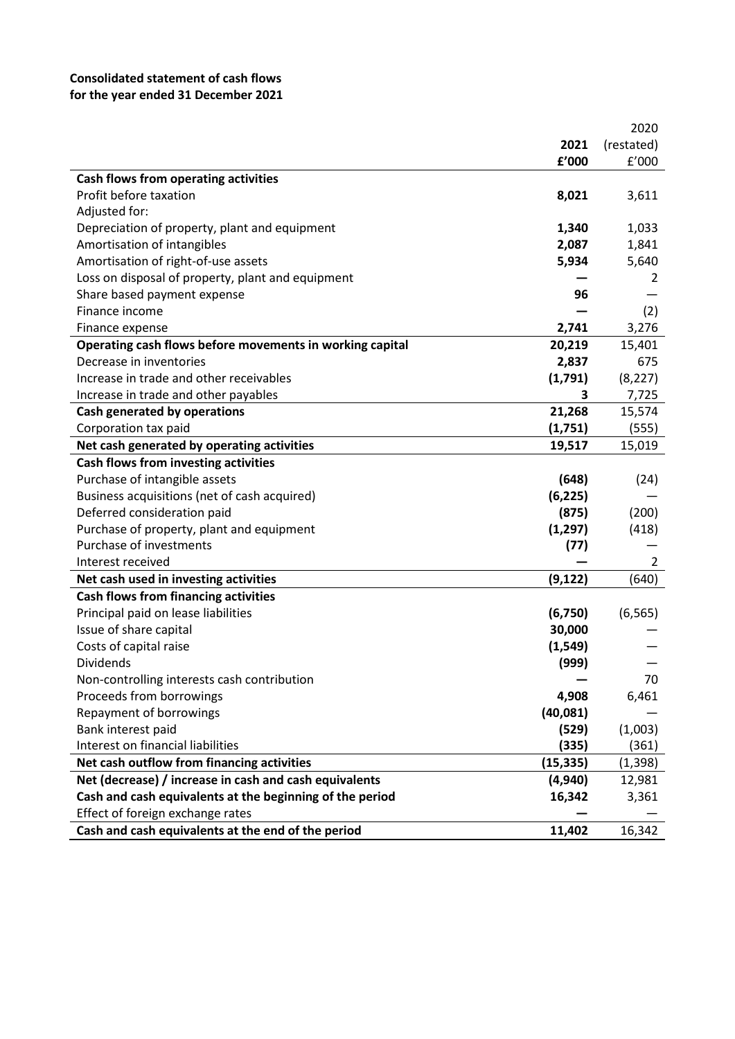# **Consolidated statement of cash flows for the year ended 31 December 2021**

|                                                          |           | 2020       |
|----------------------------------------------------------|-----------|------------|
|                                                          | 2021      | (restated) |
|                                                          | £'000     | f'000      |
| <b>Cash flows from operating activities</b>              |           |            |
| Profit before taxation                                   | 8,021     | 3,611      |
| Adjusted for:                                            |           |            |
| Depreciation of property, plant and equipment            | 1,340     | 1,033      |
| Amortisation of intangibles                              | 2,087     | 1,841      |
| Amortisation of right-of-use assets                      | 5,934     | 5,640      |
| Loss on disposal of property, plant and equipment        |           | 2          |
| Share based payment expense                              | 96        |            |
| Finance income                                           |           | (2)        |
| Finance expense                                          | 2,741     | 3,276      |
| Operating cash flows before movements in working capital | 20,219    | 15,401     |
| Decrease in inventories                                  | 2,837     | 675        |
| Increase in trade and other receivables                  | (1,791)   | (8, 227)   |
| Increase in trade and other payables                     | 3         | 7,725      |
| Cash generated by operations                             | 21,268    | 15,574     |
| Corporation tax paid                                     | (1,751)   | (555)      |
| Net cash generated by operating activities               | 19,517    | 15,019     |
| Cash flows from investing activities                     |           |            |
| Purchase of intangible assets                            | (648)     | (24)       |
| Business acquisitions (net of cash acquired)             | (6, 225)  |            |
| Deferred consideration paid                              | (875)     | (200)      |
| Purchase of property, plant and equipment                | (1, 297)  | (418)      |
| Purchase of investments                                  | (77)      |            |
| Interest received                                        |           | 2          |
| Net cash used in investing activities                    | (9, 122)  | (640)      |
| <b>Cash flows from financing activities</b>              |           |            |
| Principal paid on lease liabilities                      | (6,750)   | (6, 565)   |
| Issue of share capital                                   | 30,000    |            |
| Costs of capital raise                                   | (1, 549)  |            |
| Dividends                                                | (999)     |            |
| Non-controlling interests cash contribution              |           | 70         |
| Proceeds from borrowings                                 | 4,908     | 6,461      |
| Repayment of borrowings                                  | (40, 081) |            |
| Bank interest paid                                       | (529)     | (1,003)    |
| Interest on financial liabilities                        | (335)     | (361)      |
| Net cash outflow from financing activities               | (15, 335) | (1, 398)   |
| Net (decrease) / increase in cash and cash equivalents   | (4,940)   | 12,981     |
| Cash and cash equivalents at the beginning of the period | 16,342    | 3,361      |
| Effect of foreign exchange rates                         |           |            |
| Cash and cash equivalents at the end of the period       | 11,402    | 16,342     |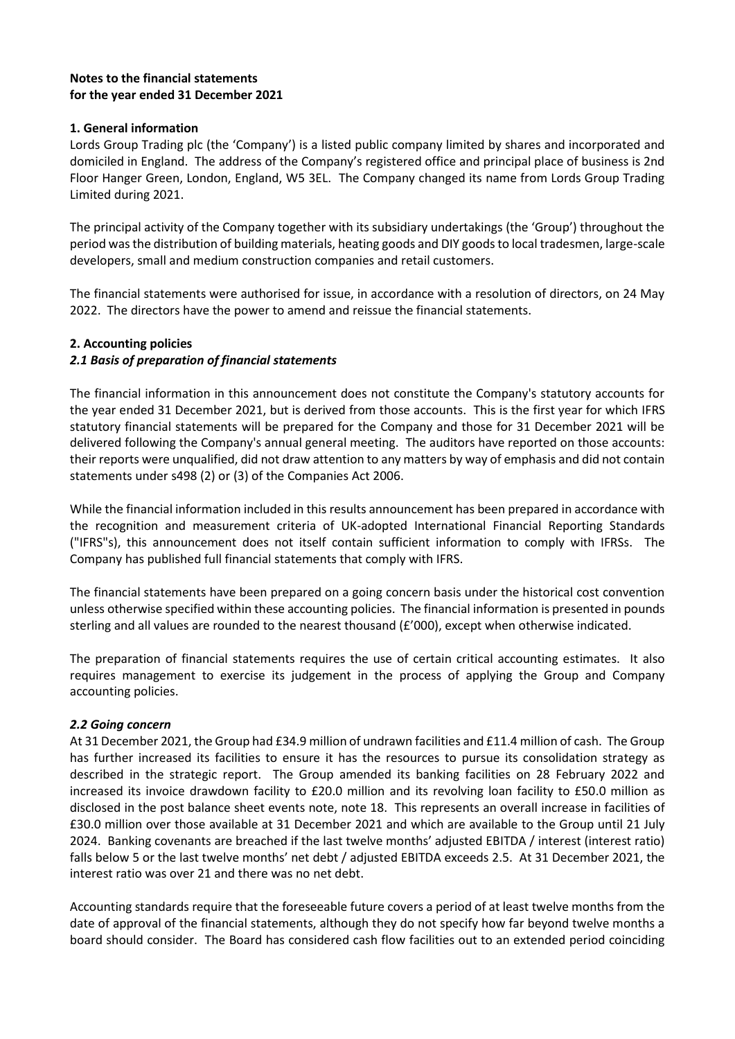# **Notes to the financial statements for the year ended 31 December 2021**

# **1. General information**

Lords Group Trading plc (the 'Company') is a listed public company limited by shares and incorporated and domiciled in England. The address of the Company's registered office and principal place of business is 2nd Floor Hanger Green, London, England, W5 3EL. The Company changed its name from Lords Group Trading Limited during 2021.

The principal activity of the Company together with its subsidiary undertakings (the 'Group') throughout the period was the distribution of building materials, heating goods and DIY goods to local tradesmen, large-scale developers, small and medium construction companies and retail customers.

The financial statements were authorised for issue, in accordance with a resolution of directors, on 24 May 2022. The directors have the power to amend and reissue the financial statements.

# **2. Accounting policies**

# *2.1 Basis of preparation of financial statements*

The financial information in this announcement does not constitute the Company's statutory accounts for the year ended 31 December 2021, but is derived from those accounts. This is the first year for which IFRS statutory financial statements will be prepared for the Company and those for 31 December 2021 will be delivered following the Company's annual general meeting. The auditors have reported on those accounts: their reports were unqualified, did not draw attention to any matters by way of emphasis and did not contain statements under s498 (2) or (3) of the Companies Act 2006.

While the financial information included in this results announcement has been prepared in accordance with the recognition and measurement criteria of UK-adopted International Financial Reporting Standards ("IFRS"s), this announcement does not itself contain sufficient information to comply with IFRSs. The Company has published full financial statements that comply with IFRS.

The financial statements have been prepared on a going concern basis under the historical cost convention unless otherwise specified within these accounting policies. The financial information is presented in pounds sterling and all values are rounded to the nearest thousand (£'000), except when otherwise indicated.

The preparation of financial statements requires the use of certain critical accounting estimates. It also requires management to exercise its judgement in the process of applying the Group and Company accounting policies.

# *2.2 Going concern*

At 31 December 2021, the Group had £34.9 million of undrawn facilities and £11.4 million of cash. The Group has further increased its facilities to ensure it has the resources to pursue its consolidation strategy as described in the strategic report. The Group amended its banking facilities on 28 February 2022 and increased its invoice drawdown facility to £20.0 million and its revolving loan facility to £50.0 million as disclosed in the post balance sheet events note, note 18. This represents an overall increase in facilities of £30.0 million over those available at 31 December 2021 and which are available to the Group until 21 July 2024. Banking covenants are breached if the last twelve months' adjusted EBITDA / interest (interest ratio) falls below 5 or the last twelve months' net debt / adjusted EBITDA exceeds 2.5. At 31 December 2021, the interest ratio was over 21 and there was no net debt.

Accounting standards require that the foreseeable future covers a period of at least twelve months from the date of approval of the financial statements, although they do not specify how far beyond twelve months a board should consider. The Board has considered cash flow facilities out to an extended period coinciding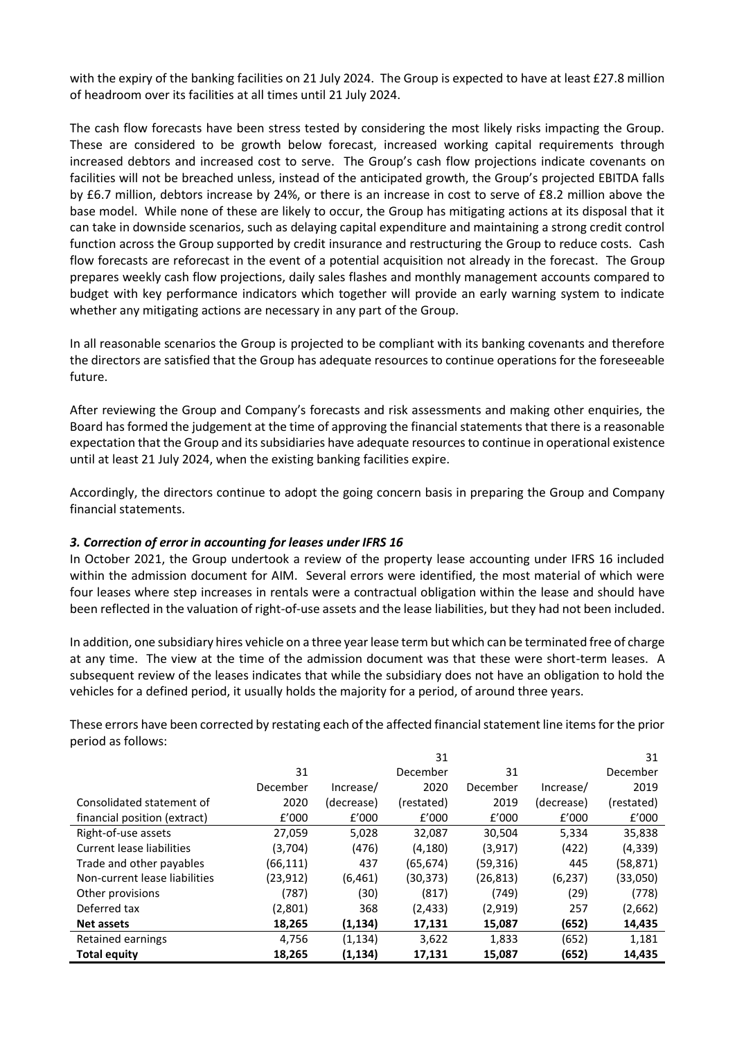with the expiry of the banking facilities on 21 July 2024. The Group is expected to have at least £27.8 million of headroom over its facilities at all times until 21 July 2024.

The cash flow forecasts have been stress tested by considering the most likely risks impacting the Group. These are considered to be growth below forecast, increased working capital requirements through increased debtors and increased cost to serve. The Group's cash flow projections indicate covenants on facilities will not be breached unless, instead of the anticipated growth, the Group's projected EBITDA falls by £6.7 million, debtors increase by 24%, or there is an increase in cost to serve of £8.2 million above the base model. While none of these are likely to occur, the Group has mitigating actions at its disposal that it can take in downside scenarios, such as delaying capital expenditure and maintaining a strong credit control function across the Group supported by credit insurance and restructuring the Group to reduce costs. Cash flow forecasts are reforecast in the event of a potential acquisition not already in the forecast. The Group prepares weekly cash flow projections, daily sales flashes and monthly management accounts compared to budget with key performance indicators which together will provide an early warning system to indicate whether any mitigating actions are necessary in any part of the Group.

In all reasonable scenarios the Group is projected to be compliant with its banking covenants and therefore the directors are satisfied that the Group has adequate resources to continue operations for the foreseeable future.

After reviewing the Group and Company's forecasts and risk assessments and making other enquiries, the Board has formed the judgement at the time of approving the financial statements that there is a reasonable expectation that the Group and its subsidiaries have adequate resources to continue in operational existence until at least 21 July 2024, when the existing banking facilities expire.

Accordingly, the directors continue to adopt the going concern basis in preparing the Group and Company financial statements.

# *3. Correction of error in accounting for leases under IFRS 16*

In October 2021, the Group undertook a review of the property lease accounting under IFRS 16 included within the admission document for AIM. Several errors were identified, the most material of which were four leases where step increases in rentals were a contractual obligation within the lease and should have been reflected in the valuation of right-of-use assets and the lease liabilities, but they had not been included.

In addition, one subsidiary hires vehicle on a three year lease term but which can be terminated free of charge at any time. The view at the time of the admission document was that these were short-term leases. A subsequent review of the leases indicates that while the subsidiary does not have an obligation to hold the vehicles for a defined period, it usually holds the majority for a period, of around three years.

These errors have been corrected by restating each of the affected financial statement line items for the prior period as follows:

|                               |           |            | 31         |           |            | 31         |
|-------------------------------|-----------|------------|------------|-----------|------------|------------|
|                               | 31        |            | December   | 31        |            | December   |
|                               | December  | Increase/  | 2020       | December  | Increase/  | 2019       |
| Consolidated statement of     | 2020      | (decrease) | (restated) | 2019      | (decrease) | (restated) |
| financial position (extract)  | f'000     | f'000      | f'000      | f'000     | f'000      | f'000      |
| Right-of-use assets           | 27,059    | 5,028      | 32,087     | 30,504    | 5,334      | 35,838     |
| Current lease liabilities     | (3,704)   | (476)      | (4, 180)   | (3,917)   | (422)      | (4, 339)   |
| Trade and other payables      | (66, 111) | 437        | (65,674)   | (59, 316) | 445        | (58, 871)  |
| Non-current lease liabilities | (23, 912) | (6, 461)   | (30,373)   | (26, 813) | (6, 237)   | (33,050)   |
| Other provisions              | (787)     | (30)       | (817)      | (749)     | (29)       | (778)      |
| Deferred tax                  | (2,801)   | 368        | (2, 433)   | (2,919)   | 257        | (2,662)    |
| <b>Net assets</b>             | 18,265    | (1, 134)   | 17,131     | 15,087    | (652)      | 14,435     |
| Retained earnings             | 4,756     | (1, 134)   | 3,622      | 1,833     | (652)      | 1,181      |
| <b>Total equity</b>           | 18,265    | (1,134)    | 17,131     | 15,087    | (652)      | 14,435     |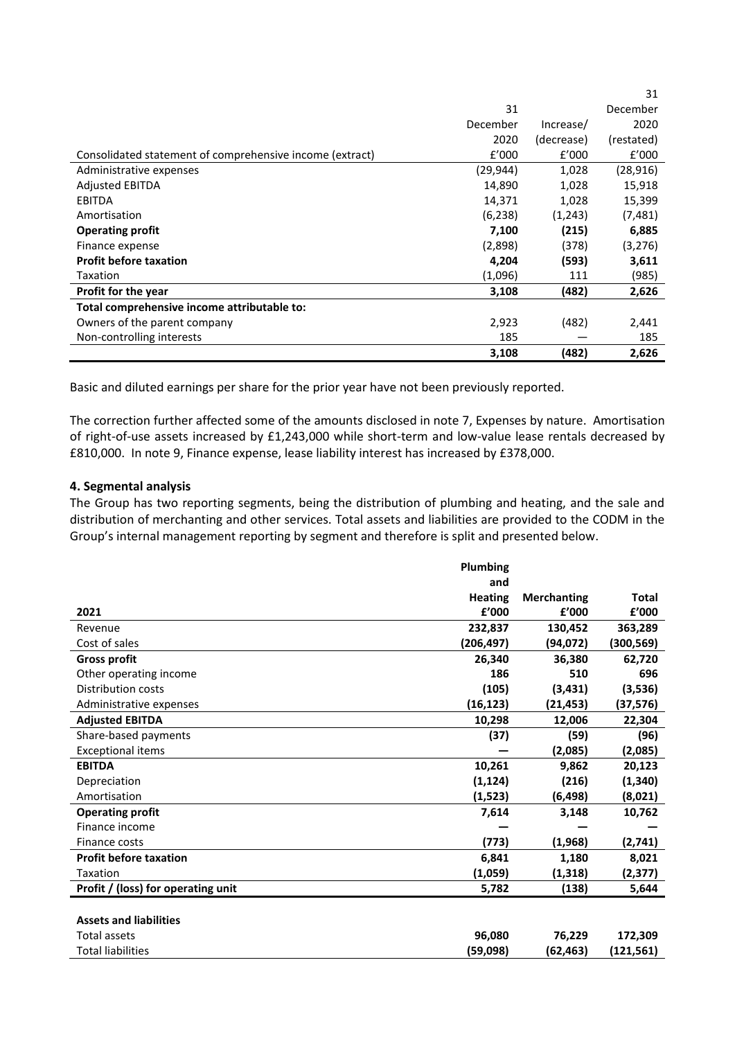|                                                          |           |            | 31         |
|----------------------------------------------------------|-----------|------------|------------|
|                                                          | 31        |            | December   |
|                                                          | December  | Increase/  | 2020       |
|                                                          | 2020      | (decrease) | (restated) |
| Consolidated statement of comprehensive income (extract) | f'000     | f'000      | f'000      |
| Administrative expenses                                  | (29, 944) | 1,028      | (28, 916)  |
| <b>Adjusted EBITDA</b>                                   | 14,890    | 1,028      | 15,918     |
| <b>EBITDA</b>                                            | 14,371    | 1,028      | 15,399     |
| Amortisation                                             | (6, 238)  | (1,243)    | (7, 481)   |
| <b>Operating profit</b>                                  | 7,100     | (215)      | 6,885      |
| Finance expense                                          | (2,898)   | (378)      | (3,276)    |
| <b>Profit before taxation</b>                            | 4,204     | (593)      | 3,611      |
| Taxation                                                 | (1,096)   | 111        | (985)      |
| Profit for the year                                      | 3,108     | (482)      | 2,626      |
| Total comprehensive income attributable to:              |           |            |            |
| Owners of the parent company                             | 2,923     | (482)      | 2,441      |
| Non-controlling interests                                | 185       |            | 185        |
|                                                          | 3,108     | (482)      | 2,626      |

Basic and diluted earnings per share for the prior year have not been previously reported.

The correction further affected some of the amounts disclosed in note 7, Expenses by nature. Amortisation of right-of-use assets increased by £1,243,000 while short-term and low-value lease rentals decreased by £810,000. In note 9, Finance expense, lease liability interest has increased by £378,000.

### **4. Segmental analysis**

The Group has two reporting segments, being the distribution of plumbing and heating, and the sale and distribution of merchanting and other services. Total assets and liabilities are provided to the CODM in the Group's internal management reporting by segment and therefore is split and presented below.

|                                    | Plumbing       |                    |              |
|------------------------------------|----------------|--------------------|--------------|
|                                    | and            |                    |              |
|                                    | <b>Heating</b> | <b>Merchanting</b> | <b>Total</b> |
| 2021                               | £'000          | £'000              | £'000        |
| Revenue                            | 232,837        | 130,452            | 363,289      |
| Cost of sales                      | (206, 497)     | (94, 072)          | (300, 569)   |
| <b>Gross profit</b>                | 26,340         | 36,380             | 62,720       |
| Other operating income             | 186            | 510                | 696          |
| Distribution costs                 | (105)          | (3, 431)           | (3,536)      |
| Administrative expenses            | (16, 123)      | (21, 453)          | (37,576)     |
| <b>Adjusted EBITDA</b>             | 10,298         | 12,006             | 22,304       |
| Share-based payments               | (37)           | (59)               | (96)         |
| <b>Exceptional items</b>           |                | (2,085)            | (2,085)      |
| <b>EBITDA</b>                      | 10,261         | 9,862              | 20,123       |
| Depreciation                       | (1, 124)       | (216)              | (1, 340)     |
| Amortisation                       | (1,523)        | (6, 498)           | (8,021)      |
| <b>Operating profit</b>            | 7,614          | 3,148              | 10,762       |
| Finance income                     |                |                    |              |
| Finance costs                      | (773)          | (1,968)            | (2,741)      |
| <b>Profit before taxation</b>      | 6,841          | 1,180              | 8,021        |
| <b>Taxation</b>                    | (1,059)        | (1, 318)           | (2, 377)     |
| Profit / (loss) for operating unit | 5,782          | (138)              | 5,644        |
|                                    |                |                    |              |
| <b>Assets and liabilities</b>      |                |                    |              |
| <b>Total assets</b>                | 96,080         | 76,229             | 172,309      |
| <b>Total liabilities</b>           | (59,098)       | (62,463)           | (121,561)    |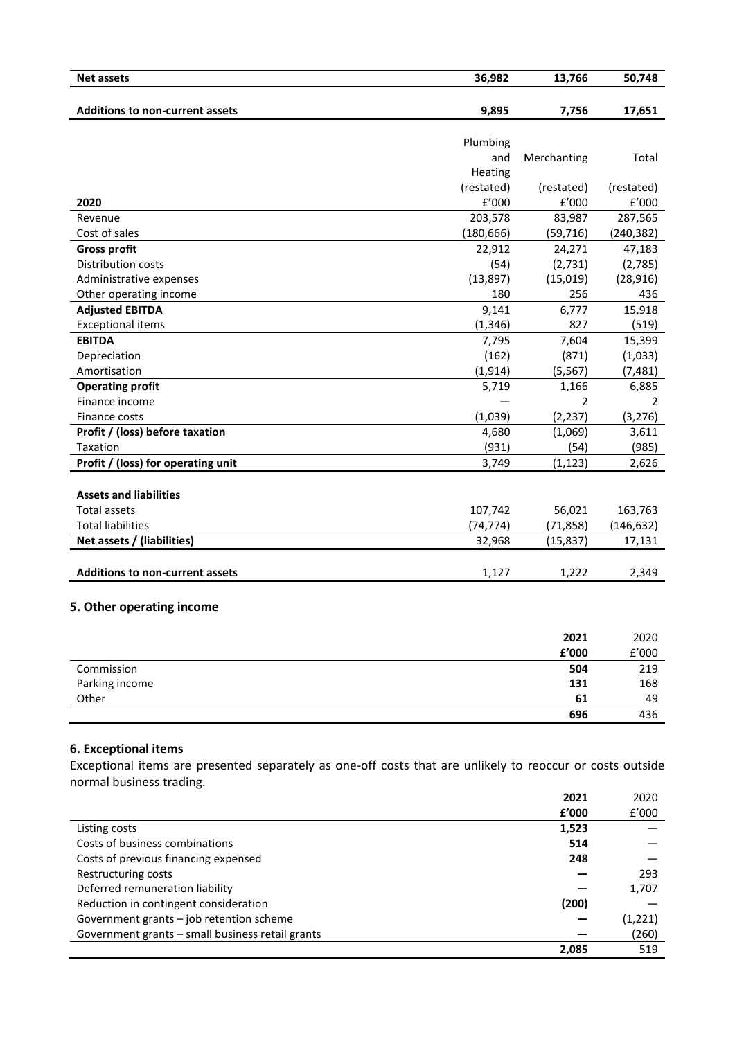| <b>Net assets</b>                                                                                         | 36,982          | 13,766      | 50,748     |
|-----------------------------------------------------------------------------------------------------------|-----------------|-------------|------------|
| <b>Additions to non-current assets</b>                                                                    | 9,895           | 7,756       | 17,651     |
|                                                                                                           |                 |             |            |
|                                                                                                           | Plumbing<br>and | Merchanting | Total      |
|                                                                                                           | Heating         |             |            |
|                                                                                                           | (restated)      | (restated)  | (restated) |
| 2020                                                                                                      | f'000           | f'000       | f'000      |
| Revenue                                                                                                   | 203,578         | 83,987      | 287,565    |
| Cost of sales                                                                                             | (180, 666)      | (59, 716)   | (240, 382) |
| <b>Gross profit</b>                                                                                       | 22,912          | 24,271      | 47,183     |
| Distribution costs                                                                                        | (54)            | (2,731)     | (2,785)    |
| Administrative expenses                                                                                   | (13, 897)       | (15, 019)   | (28, 916)  |
| Other operating income                                                                                    | 180             | 256         | 436        |
| <b>Adjusted EBITDA</b>                                                                                    | 9,141           | 6,777       | 15,918     |
| <b>Exceptional items</b>                                                                                  | (1, 346)        | 827         | (519)      |
| <b>EBITDA</b>                                                                                             | 7,795           | 7,604       | 15,399     |
| Depreciation                                                                                              | (162)           | (871)       | (1,033)    |
| Amortisation                                                                                              | (1, 914)        | (5, 567)    | (7, 481)   |
| <b>Operating profit</b>                                                                                   | 5,719           | 1,166       | 6,885      |
| Finance income                                                                                            |                 | 2           | 2          |
| Finance costs                                                                                             | (1,039)         | (2, 237)    | (3, 276)   |
| Profit / (loss) before taxation                                                                           | 4,680           | (1,069)     | 3,611      |
| Taxation                                                                                                  | (931)           | (54)        | (985)      |
| Profit / (loss) for operating unit                                                                        | 3,749           | (1, 123)    | 2,626      |
|                                                                                                           |                 |             |            |
| <b>Assets and liabilities</b>                                                                             |                 |             |            |
| <b>Total assets</b>                                                                                       | 107,742         | 56,021      | 163,763    |
| <b>Total liabilities</b>                                                                                  | (74, 774)       | (71, 858)   | (146, 632) |
| Net assets / (liabilities)                                                                                | 32,968          | (15, 837)   | 17,131     |
|                                                                                                           |                 |             |            |
| <b>Additions to non-current assets</b>                                                                    | 1,127           | 1,222       | 2,349      |
|                                                                                                           |                 |             |            |
| 5. Other operating income                                                                                 |                 |             |            |
|                                                                                                           |                 | 2021        | 2020       |
|                                                                                                           |                 | £'000       | f'000      |
| Commission                                                                                                |                 | 504         | 219        |
| Parking income                                                                                            |                 | 131         | 168        |
| Other                                                                                                     |                 | 61          | 49         |
|                                                                                                           |                 | 696         | 436        |
|                                                                                                           |                 |             |            |
|                                                                                                           |                 |             |            |
| <b>6. Exceptional items</b>                                                                               |                 |             |            |
| Exceptional items are presented separately as one-off costs that are unlikely to reoccur or costs outside |                 |             |            |

normal business trading.

|                                                  | 2021  | 2020    |
|--------------------------------------------------|-------|---------|
|                                                  | f'000 | f'000   |
| Listing costs                                    | 1,523 |         |
| Costs of business combinations                   | 514   |         |
| Costs of previous financing expensed             | 248   |         |
| Restructuring costs                              |       | 293     |
| Deferred remuneration liability                  |       | 1,707   |
| Reduction in contingent consideration            | (200) |         |
| Government grants - job retention scheme         |       | (1,221) |
| Government grants - small business retail grants |       | (260)   |
|                                                  | 2,085 | 519     |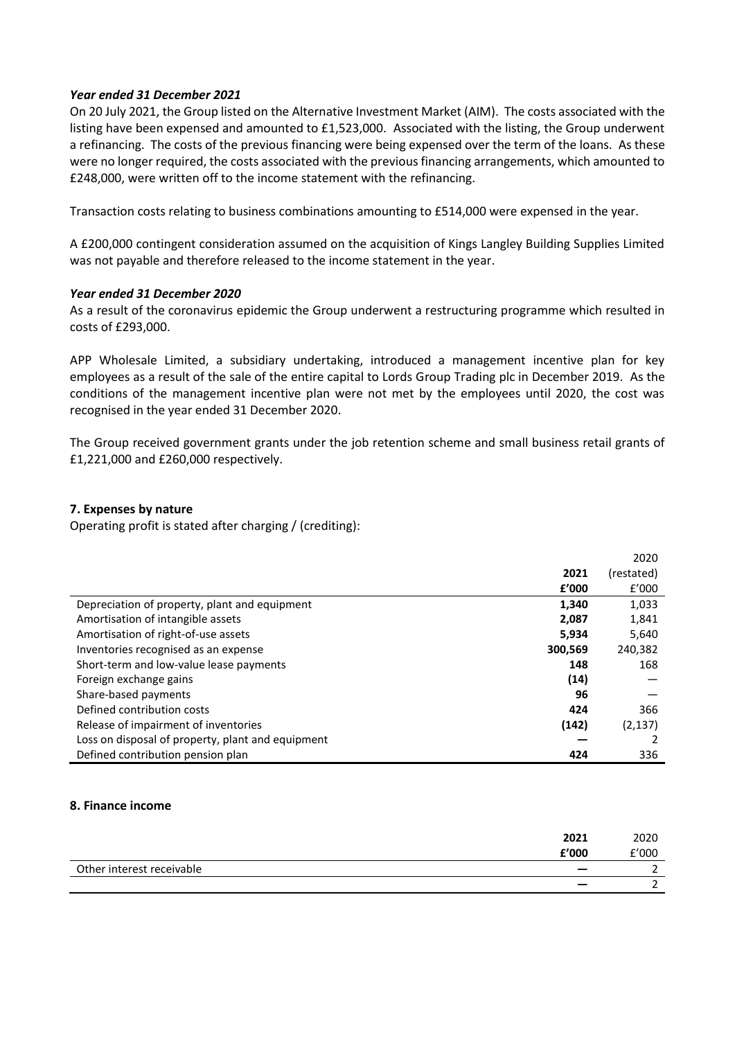### *Year ended 31 December 2021*

On 20 July 2021, the Group listed on the Alternative Investment Market (AIM). The costs associated with the listing have been expensed and amounted to £1,523,000. Associated with the listing, the Group underwent a refinancing. The costs of the previous financing were being expensed over the term of the loans. As these were no longer required, the costs associated with the previous financing arrangements, which amounted to £248,000, were written off to the income statement with the refinancing.

Transaction costs relating to business combinations amounting to £514,000 were expensed in the year.

A £200,000 contingent consideration assumed on the acquisition of Kings Langley Building Supplies Limited was not payable and therefore released to the income statement in the year.

### *Year ended 31 December 2020*

As a result of the coronavirus epidemic the Group underwent a restructuring programme which resulted in costs of £293,000.

APP Wholesale Limited, a subsidiary undertaking, introduced a management incentive plan for key employees as a result of the sale of the entire capital to Lords Group Trading plc in December 2019. As the conditions of the management incentive plan were not met by the employees until 2020, the cost was recognised in the year ended 31 December 2020.

The Group received government grants under the job retention scheme and small business retail grants of £1,221,000 and £260,000 respectively.

### **7. Expenses by nature**

Operating profit is stated after charging / (crediting):

|                                                   |         | 2020       |
|---------------------------------------------------|---------|------------|
|                                                   | 2021    | (restated) |
|                                                   | f'000   | f'000      |
| Depreciation of property, plant and equipment     | 1.340   | 1,033      |
| Amortisation of intangible assets                 | 2,087   | 1,841      |
| Amortisation of right-of-use assets               | 5,934   | 5,640      |
| Inventories recognised as an expense              | 300,569 | 240,382    |
| Short-term and low-value lease payments           | 148     | 168        |
| Foreign exchange gains                            | (14)    |            |
| Share-based payments                              | 96      |            |
| Defined contribution costs                        | 424     | 366        |
| Release of impairment of inventories              | (142)   | (2, 137)   |
| Loss on disposal of property, plant and equipment |         |            |
| Defined contribution pension plan                 | 424     | 336        |

### **8. Finance income**

| £'000                     | 2021 | 2020<br>£'000 |
|---------------------------|------|---------------|
| Other interest receivable |      |               |
|                           |      |               |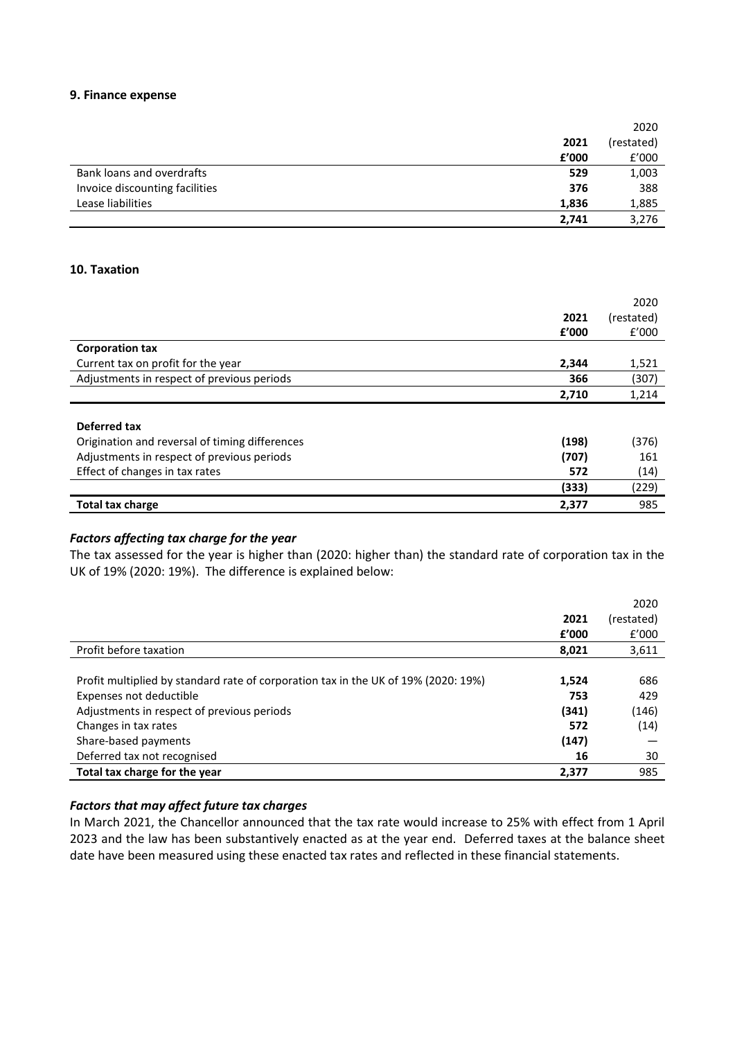### **9. Finance expense**

|                                |       | 2020       |
|--------------------------------|-------|------------|
|                                | 2021  | (restated) |
|                                | f'000 | f'000      |
| Bank loans and overdrafts      | 529   | 1,003      |
| Invoice discounting facilities | 376   | 388        |
| Lease liabilities              | 1,836 | 1,885      |
|                                | 2,741 | 3,276      |

## **10. Taxation**

|                                                |       | 2020       |
|------------------------------------------------|-------|------------|
|                                                | 2021  | (restated) |
|                                                | £'000 | f'000      |
| <b>Corporation tax</b>                         |       |            |
| Current tax on profit for the year             | 2,344 | 1,521      |
| Adjustments in respect of previous periods     | 366   | (307)      |
|                                                | 2,710 | 1,214      |
|                                                |       |            |
| Deferred tax                                   |       |            |
| Origination and reversal of timing differences | (198) | (376)      |
| Adjustments in respect of previous periods     | (707) | 161        |
| Effect of changes in tax rates                 | 572   | (14)       |
|                                                |       |            |
|                                                | (333) | (229)      |

# *Factors affecting tax charge for the year*

The tax assessed for the year is higher than (2020: higher than) the standard rate of corporation tax in the UK of 19% (2020: 19%). The difference is explained below:

|                                                                                    |       | 2020       |
|------------------------------------------------------------------------------------|-------|------------|
|                                                                                    | 2021  | (restated) |
|                                                                                    | £'000 | f'000      |
| Profit before taxation                                                             | 8,021 | 3,611      |
|                                                                                    |       |            |
| Profit multiplied by standard rate of corporation tax in the UK of 19% (2020: 19%) | 1,524 | 686        |
| Expenses not deductible                                                            | 753   | 429        |
| Adjustments in respect of previous periods                                         | (341) | (146)      |
| Changes in tax rates                                                               | 572   | (14)       |
| Share-based payments                                                               | (147) |            |
| Deferred tax not recognised                                                        | 16    | 30         |
| Total tax charge for the year                                                      | 2,377 | 985        |

# *Factors that may affect future tax charges*

In March 2021, the Chancellor announced that the tax rate would increase to 25% with effect from 1 April 2023 and the law has been substantively enacted as at the year end. Deferred taxes at the balance sheet date have been measured using these enacted tax rates and reflected in these financial statements.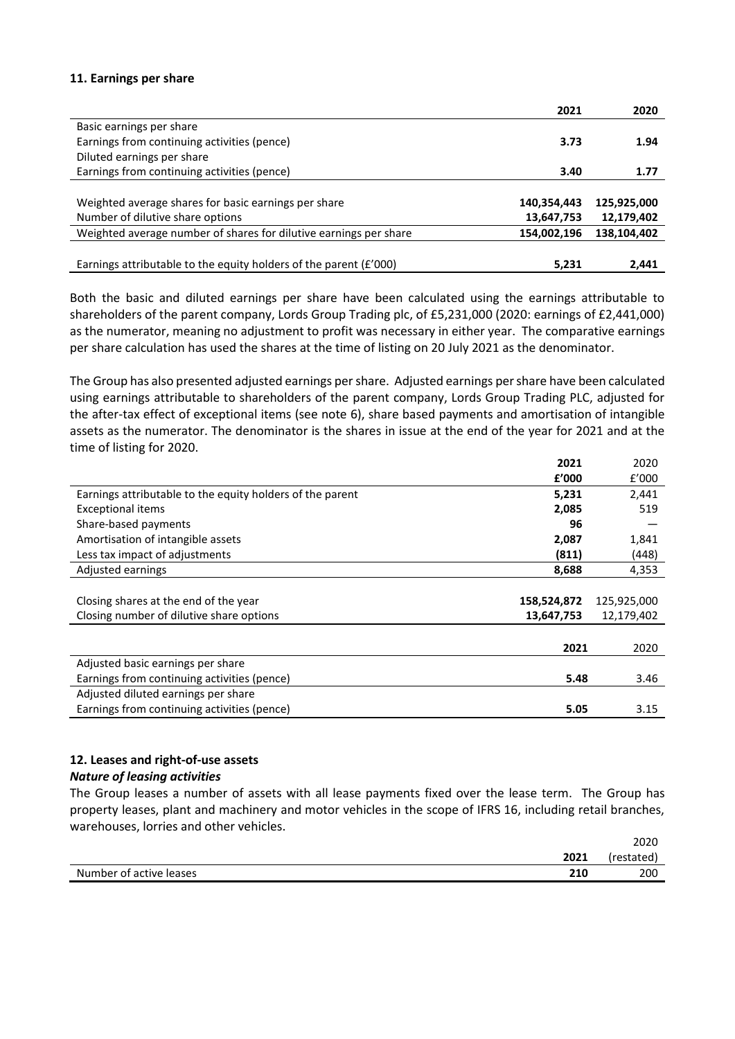### **11. Earnings per share**

|                                                                   | 2021        | 2020        |
|-------------------------------------------------------------------|-------------|-------------|
| Basic earnings per share                                          |             |             |
| Earnings from continuing activities (pence)                       | 3.73        | 1.94        |
| Diluted earnings per share                                        |             |             |
| Earnings from continuing activities (pence)                       | 3.40        | 1.77        |
|                                                                   |             |             |
| Weighted average shares for basic earnings per share              | 140,354,443 | 125,925,000 |
| Number of dilutive share options                                  | 13,647,753  | 12,179,402  |
| Weighted average number of shares for dilutive earnings per share | 154,002,196 | 138,104,402 |
|                                                                   |             |             |
| Earnings attributable to the equity holders of the parent (£'000) | 5,231       | 2,441       |

Both the basic and diluted earnings per share have been calculated using the earnings attributable to shareholders of the parent company, Lords Group Trading plc, of £5,231,000 (2020: earnings of £2,441,000) as the numerator, meaning no adjustment to profit was necessary in either year. The comparative earnings per share calculation has used the shares at the time of listing on 20 July 2021 as the denominator.

The Group has also presented adjusted earnings per share. Adjusted earnings per share have been calculated using earnings attributable to shareholders of the parent company, Lords Group Trading PLC, adjusted for the after-tax effect of exceptional items (see note 6), share based payments and amortisation of intangible assets as the numerator. The denominator is the shares in issue at the end of the year for 2021 and at the time of listing for 2020.

|                                                           | 2021        | 2020        |
|-----------------------------------------------------------|-------------|-------------|
|                                                           | f'000       | f'000       |
| Earnings attributable to the equity holders of the parent | 5,231       | 2,441       |
| <b>Exceptional items</b>                                  | 2,085       | 519         |
| Share-based payments                                      | 96          |             |
| Amortisation of intangible assets                         | 2,087       | 1,841       |
| Less tax impact of adjustments                            | (811)       | (448)       |
| Adjusted earnings                                         | 8,688       | 4,353       |
|                                                           |             |             |
| Closing shares at the end of the year                     | 158,524,872 | 125,925,000 |
| Closing number of dilutive share options                  | 13,647,753  | 12,179,402  |
|                                                           |             |             |
|                                                           | 2021        | 2020        |
| Adjusted basic earnings per share                         |             |             |
| Earnings from continuing activities (pence)               | 5.48        | 3.46        |
| Adjusted diluted earnings per share                       |             |             |
| Earnings from continuing activities (pence)               | 5.05        | 3.15        |

# **12. Leases and right-of-use assets**

# *Nature of leasing activities*

The Group leases a number of assets with all lease payments fixed over the lease term. The Group has property leases, plant and machinery and motor vehicles in the scope of IFRS 16, including retail branches, warehouses, lorries and other vehicles.

|                         |            | 2020       |
|-------------------------|------------|------------|
|                         | 2021       | 'restated, |
| Number of active leases | 916<br>ZIU | 200        |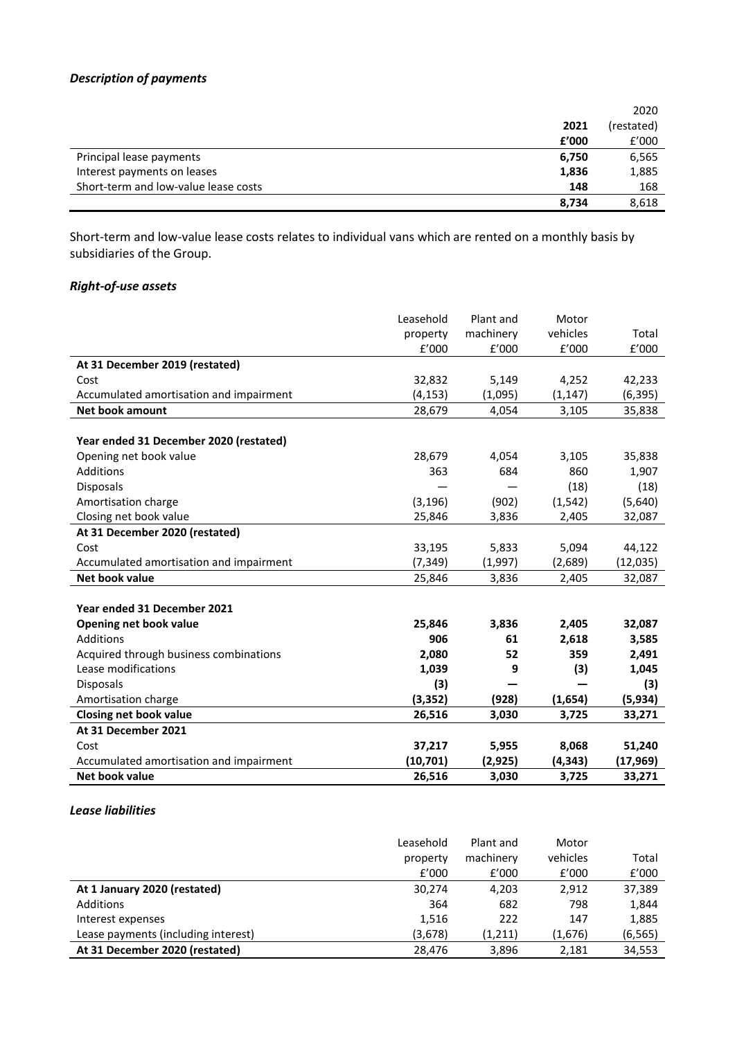# *Description of payments*

|                                      |       | 2020       |
|--------------------------------------|-------|------------|
|                                      | 2021  | (restated) |
|                                      | £'000 | f'000      |
| Principal lease payments             | 6,750 | 6,565      |
| Interest payments on leases          | 1,836 | 1,885      |
| Short-term and low-value lease costs | 148   | 168        |
|                                      | 8.734 | 8,618      |

Short-term and low-value lease costs relates to individual vans which are rented on a monthly basis by subsidiaries of the Group.

# *Right-of-use assets*

|                                         | Leasehold | Plant and | Motor    |           |
|-----------------------------------------|-----------|-----------|----------|-----------|
|                                         | property  | machinery | vehicles | Total     |
|                                         | f'000     | f'000     | f'000    | f'000     |
| At 31 December 2019 (restated)          |           |           |          |           |
| Cost                                    | 32,832    | 5,149     | 4,252    | 42,233    |
| Accumulated amortisation and impairment | (4, 153)  | (1,095)   | (1, 147) | (6, 395)  |
| <b>Net book amount</b>                  | 28,679    | 4,054     | 3,105    | 35,838    |
|                                         |           |           |          |           |
| Year ended 31 December 2020 (restated)  |           |           |          |           |
| Opening net book value                  | 28,679    | 4,054     | 3,105    | 35,838    |
| <b>Additions</b>                        | 363       | 684       | 860      | 1,907     |
| Disposals                               |           |           | (18)     | (18)      |
| Amortisation charge                     | (3, 196)  | (902)     | (1, 542) | (5,640)   |
| Closing net book value                  | 25,846    | 3,836     | 2,405    | 32,087    |
| At 31 December 2020 (restated)          |           |           |          |           |
| Cost                                    | 33,195    | 5,833     | 5,094    | 44,122    |
| Accumulated amortisation and impairment | (7, 349)  | (1,997)   | (2,689)  | (12, 035) |
| Net book value                          | 25,846    | 3,836     | 2,405    | 32,087    |
|                                         |           |           |          |           |
| Year ended 31 December 2021             |           |           |          |           |
| Opening net book value                  | 25,846    | 3,836     | 2,405    | 32,087    |
| Additions                               | 906       | 61        | 2,618    | 3,585     |
| Acquired through business combinations  | 2,080     | 52        | 359      | 2,491     |
| Lease modifications                     | 1,039     | 9         | (3)      | 1,045     |
| <b>Disposals</b>                        | (3)       |           |          | (3)       |
| Amortisation charge                     | (3, 352)  | (928)     | (1,654)  | (5,934)   |
| <b>Closing net book value</b>           | 26,516    | 3,030     | 3,725    | 33,271    |
| At 31 December 2021                     |           |           |          |           |
| Cost                                    | 37,217    | 5,955     | 8,068    | 51,240    |
| Accumulated amortisation and impairment | (10,701)  | (2,925)   | (4,343)  | (17, 969) |
| Net book value                          | 26,516    | 3,030     | 3,725    | 33,271    |

# *Lease liabilities*

|                                     | Leasehold | Plant and | Motor    |          |
|-------------------------------------|-----------|-----------|----------|----------|
|                                     | property  | machinery | vehicles | Total    |
|                                     | f'000     | f'000     | f'000    | f'000    |
| At 1 January 2020 (restated)        | 30.274    | 4.203     | 2.912    | 37,389   |
| Additions                           | 364       | 682       | 798      | 1,844    |
| Interest expenses                   | 1,516     | 222       | 147      | 1,885    |
| Lease payments (including interest) | (3,678)   | (1,211)   | (1,676)  | (6, 565) |
| At 31 December 2020 (restated)      | 28.476    | 3,896     | 2,181    | 34,553   |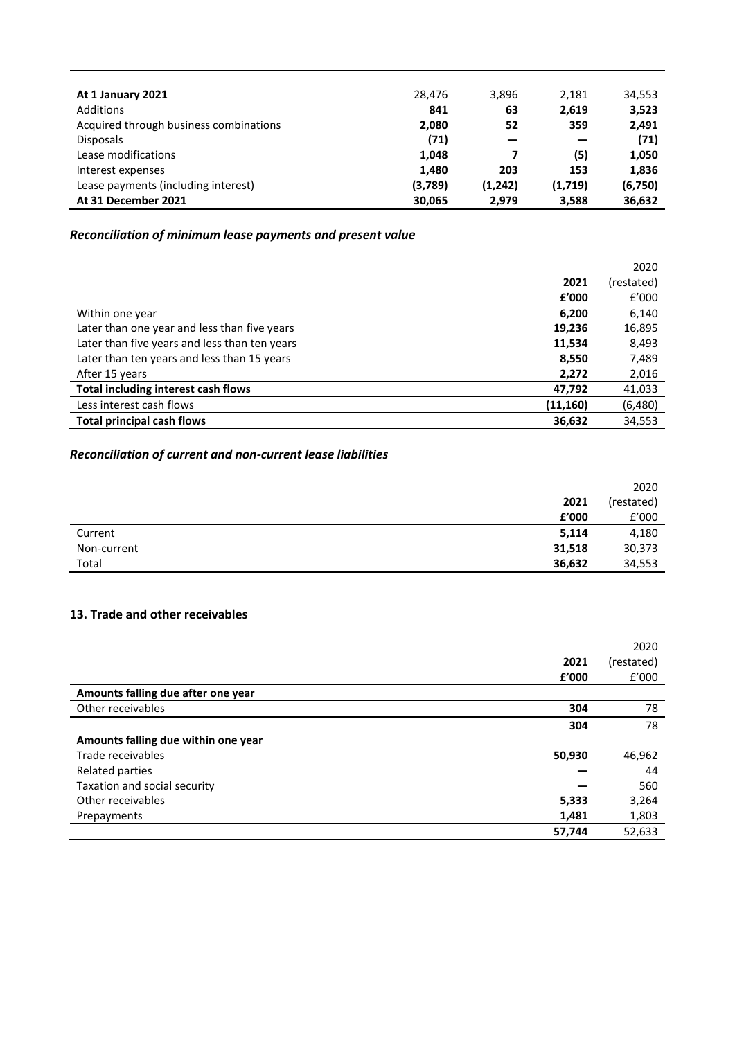| At 1 January 2021                      | 28.476  | 3,896   | 2,181   | 34,553   |
|----------------------------------------|---------|---------|---------|----------|
| Additions                              | 841     | 63      | 2,619   | 3,523    |
| Acquired through business combinations | 2,080   | 52      | 359     | 2,491    |
| <b>Disposals</b>                       | (71)    |         |         | (71)     |
| Lease modifications                    | 1,048   |         | (5)     | 1,050    |
| Interest expenses                      | 1,480   | 203     | 153     | 1,836    |
| Lease payments (including interest)    | (3,789) | (1,242) | (1,719) | (6, 750) |
| At 31 December 2021                    | 30,065  | 2,979   | 3,588   | 36,632   |

# *Reconciliation of minimum lease payments and present value*

|                                               |           | 2020       |
|-----------------------------------------------|-----------|------------|
|                                               | 2021      | (restated) |
|                                               | f'000     | f'000      |
| Within one year                               | 6,200     | 6,140      |
| Later than one year and less than five years  | 19,236    | 16,895     |
| Later than five years and less than ten years | 11,534    | 8,493      |
| Later than ten years and less than 15 years   | 8,550     | 7,489      |
| After 15 years                                | 2,272     | 2,016      |
| Total including interest cash flows           | 47,792    | 41,033     |
| Less interest cash flows                      | (11, 160) | (6,480)    |
| <b>Total principal cash flows</b>             | 36,632    | 34,553     |

# *Reconciliation of current and non-current lease liabilities*

|             |        | 2020       |
|-------------|--------|------------|
|             | 2021   | (restated) |
|             | £'000  | £'000      |
| Current     | 5,114  | 4,180      |
| Non-current | 31,518 | 30,373     |
| Total       | 36,632 | 34,553     |

# **13. Trade and other receivables**

|                                     |        | 2020       |
|-------------------------------------|--------|------------|
|                                     | 2021   | (restated) |
|                                     | £'000  | f'000      |
| Amounts falling due after one year  |        |            |
| Other receivables                   | 304    | 78         |
|                                     | 304    | 78         |
| Amounts falling due within one year |        |            |
| Trade receivables                   | 50,930 | 46,962     |
| Related parties                     |        | 44         |
| Taxation and social security        |        | 560        |
| Other receivables                   | 5,333  | 3,264      |
| Prepayments                         | 1,481  | 1,803      |
|                                     | 57,744 | 52,633     |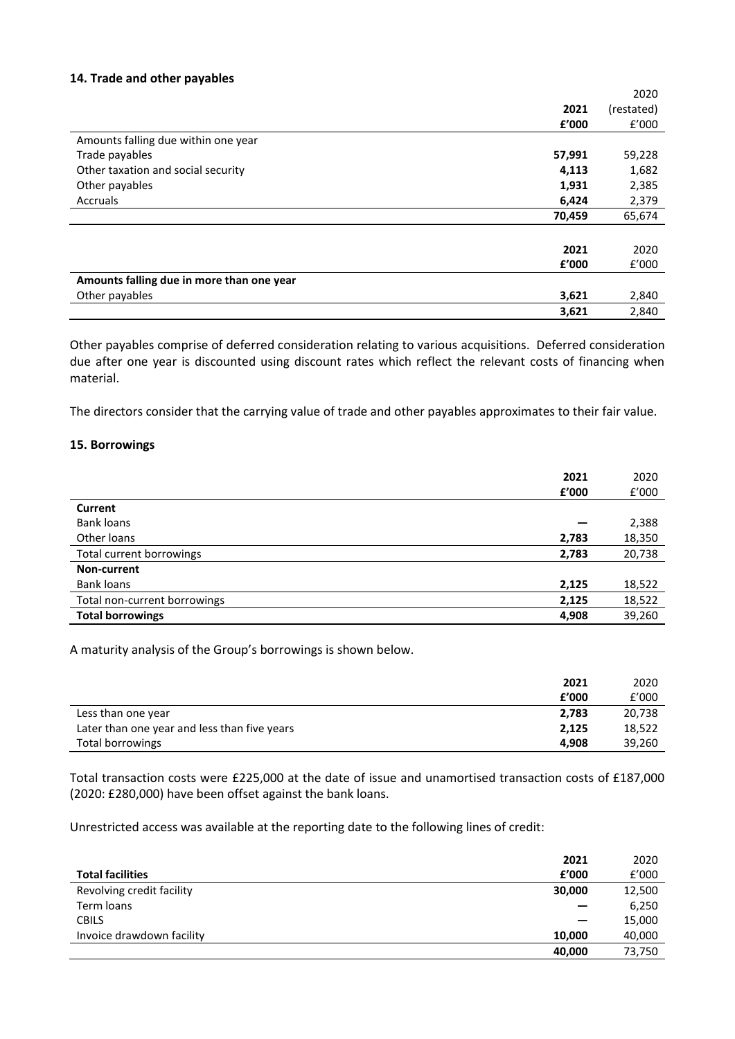### **14. Trade and other payables**

|                                           |        | 2020       |
|-------------------------------------------|--------|------------|
|                                           | 2021   | (restated) |
|                                           | £'000  | f'000      |
| Amounts falling due within one year       |        |            |
| Trade payables                            | 57,991 | 59,228     |
| Other taxation and social security        | 4,113  | 1,682      |
| Other payables                            | 1,931  | 2,385      |
| Accruals                                  | 6,424  | 2,379      |
|                                           | 70,459 | 65,674     |
|                                           |        |            |
|                                           | 2021   | 2020       |
|                                           | £'000  | f'000      |
| Amounts falling due in more than one year |        |            |
| Other payables                            | 3,621  | 2,840      |
|                                           | 3,621  | 2,840      |

Other payables comprise of deferred consideration relating to various acquisitions. Deferred consideration due after one year is discounted using discount rates which reflect the relevant costs of financing when material.

The directors consider that the carrying value of trade and other payables approximates to their fair value.

# **15. Borrowings**

|                              | 2021<br>£'000 | 2020<br>f'000 |
|------------------------------|---------------|---------------|
| Current                      |               |               |
| <b>Bank loans</b>            |               | 2,388         |
| Other loans                  | 2,783         | 18,350        |
| Total current borrowings     | 2,783         | 20,738        |
| Non-current                  |               |               |
| <b>Bank loans</b>            | 2,125         | 18,522        |
| Total non-current borrowings | 2,125         | 18,522        |
| <b>Total borrowings</b>      | 4,908         | 39,260        |

A maturity analysis of the Group's borrowings is shown below.

|                                              | 2021  | 2020   |
|----------------------------------------------|-------|--------|
|                                              | f'000 | f'000  |
| Less than one year                           | 2,783 | 20,738 |
| Later than one year and less than five years | 2.125 | 18,522 |
| Total borrowings                             | 4.908 | 39,260 |

Total transaction costs were £225,000 at the date of issue and unamortised transaction costs of £187,000 (2020: £280,000) have been offset against the bank loans.

Unrestricted access was available at the reporting date to the following lines of credit:

| 2021                                |   | 2020   |
|-------------------------------------|---|--------|
| f'000<br><b>Total facilities</b>    |   | f'000  |
| Revolving credit facility<br>30,000 |   | 12,500 |
| Term loans                          |   | 6,250  |
| <b>CBILS</b>                        | – | 15,000 |
| Invoice drawdown facility<br>10,000 |   | 40,000 |
| 40.000                              |   | 73,750 |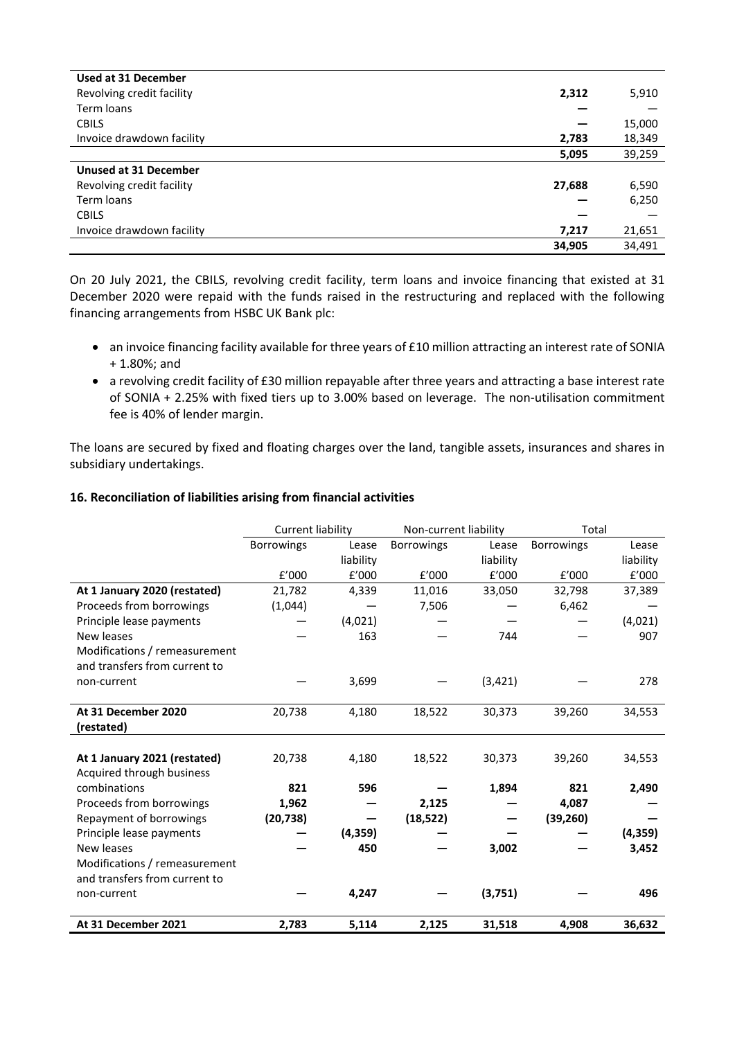| <b>Used at 31 December</b>   |        |        |
|------------------------------|--------|--------|
| Revolving credit facility    | 2,312  | 5,910  |
| Term loans                   |        |        |
| <b>CBILS</b>                 |        | 15,000 |
| Invoice drawdown facility    | 2,783  | 18,349 |
|                              | 5,095  | 39,259 |
| <b>Unused at 31 December</b> |        |        |
| Revolving credit facility    | 27,688 | 6,590  |
| Term loans                   |        | 6,250  |
| <b>CBILS</b>                 |        |        |
| Invoice drawdown facility    | 7,217  | 21,651 |
|                              | 34,905 | 34,491 |

On 20 July 2021, the CBILS, revolving credit facility, term loans and invoice financing that existed at 31 December 2020 were repaid with the funds raised in the restructuring and replaced with the following financing arrangements from HSBC UK Bank plc:

- an invoice financing facility available for three years of £10 million attracting an interest rate of SONIA + 1.80%; and
- a revolving credit facility of £30 million repayable after three years and attracting a base interest rate of SONIA + 2.25% with fixed tiers up to 3.00% based on leverage. The non-utilisation commitment fee is 40% of lender margin.

The loans are secured by fixed and floating charges over the land, tangible assets, insurances and shares in subsidiary undertakings.

# **16. Reconciliation of liabilities arising from financial activities**

|                               | <b>Current liability</b> |           | Non-current liability |           | Total             |           |
|-------------------------------|--------------------------|-----------|-----------------------|-----------|-------------------|-----------|
|                               | <b>Borrowings</b>        | Lease     | <b>Borrowings</b>     | Lease     | <b>Borrowings</b> | Lease     |
|                               |                          | liability |                       | liability |                   | liability |
|                               | f'000                    | f'000     | f'000                 | f'000     | f'000             | f'000     |
| At 1 January 2020 (restated)  | 21,782                   | 4,339     | 11,016                | 33,050    | 32,798            | 37,389    |
| Proceeds from borrowings      | (1,044)                  |           | 7,506                 |           | 6,462             |           |
| Principle lease payments      |                          | (4,021)   |                       |           |                   | (4,021)   |
| New leases                    |                          | 163       |                       | 744       |                   | 907       |
| Modifications / remeasurement |                          |           |                       |           |                   |           |
| and transfers from current to |                          |           |                       |           |                   |           |
| non-current                   |                          | 3,699     |                       | (3, 421)  |                   | 278       |
|                               |                          |           |                       |           |                   |           |
| At 31 December 2020           | 20,738                   | 4,180     | 18,522                | 30,373    | 39,260            | 34,553    |
| (restated)                    |                          |           |                       |           |                   |           |
|                               |                          |           |                       |           |                   |           |
| At 1 January 2021 (restated)  | 20,738                   | 4,180     | 18,522                | 30,373    | 39,260            | 34,553    |
| Acquired through business     |                          |           |                       |           |                   |           |
| combinations                  | 821                      | 596       |                       | 1,894     | 821               | 2,490     |
| Proceeds from borrowings      | 1,962                    |           | 2,125                 |           | 4,087             |           |
| Repayment of borrowings       | (20, 738)                |           | (18, 522)             |           | (39, 260)         |           |
| Principle lease payments      |                          | (4, 359)  |                       |           |                   | (4,359)   |
| New leases                    |                          | 450       |                       | 3,002     |                   | 3,452     |
| Modifications / remeasurement |                          |           |                       |           |                   |           |
| and transfers from current to |                          |           |                       |           |                   |           |
| non-current                   |                          | 4,247     |                       | (3,751)   |                   | 496       |
|                               |                          |           |                       |           |                   |           |
| At 31 December 2021           | 2,783                    | 5,114     | 2,125                 | 31,518    | 4,908             | 36,632    |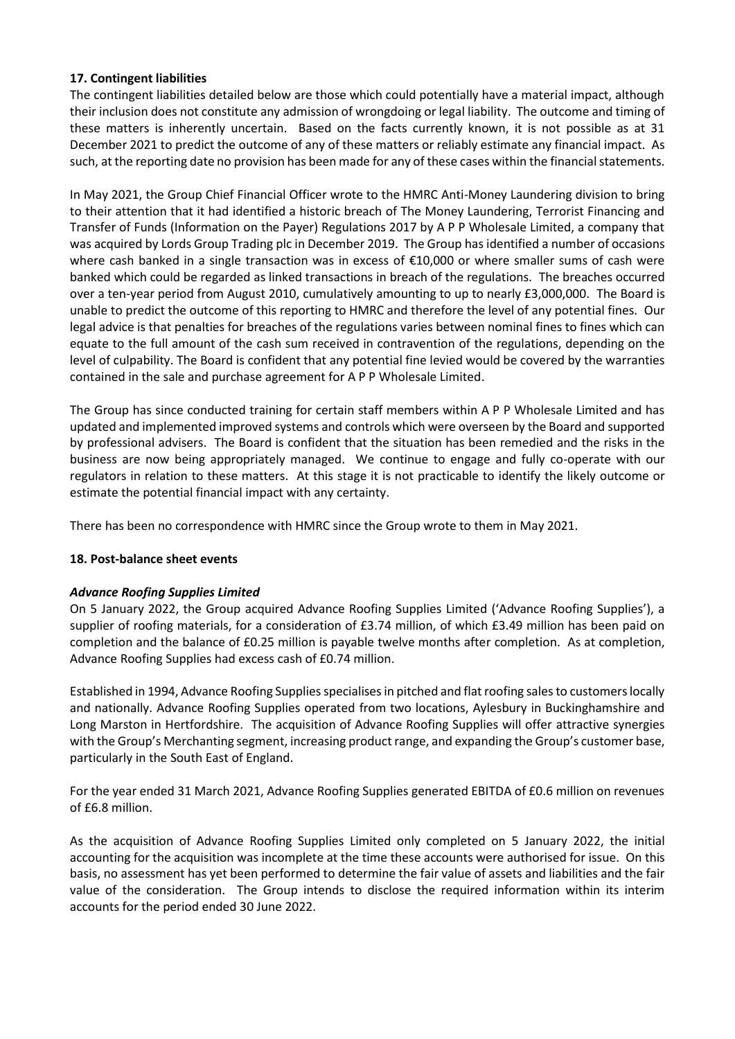# **17. Contingent liabilities**

The contingent liabilities detailed below are those which could potentially have a material impact, although their inclusion does not constitute any admission of wrongdoing or legal liability. The outcome and timing of these matters is inherently uncertain. Based on the facts currently known, it is not possible as at 31 December 2021 to predict the outcome of any of these matters or reliably estimate any financial impact. As such, at the reporting date no provision has been made for any of these cases within the financial statements.

In May 2021, the Group Chief Financial Officer wrote to the HMRC Anti-Money Laundering division to bring to their attention that it had identified a historic breach of The Money Laundering, Terrorist Financing and Transfer of Funds (Information on the Payer) Regulations 2017 by A P P Wholesale Limited, a company that was acquired by Lords Group Trading plc in December 2019. The Group has identified a number of occasions where cash banked in a single transaction was in excess of €10,000 or where smaller sums of cash were banked which could be regarded as linked transactions in breach of the regulations. The breaches occurred over a ten-year period from August 2010, cumulatively amounting to up to nearly £3,000,000. The Board is unable to predict the outcome of this reporting to HMRC and therefore the level of any potential fines. Our legal advice is that penalties for breaches of the regulations varies between nominal fines to fines which can equate to the full amount of the cash sum received in contravention of the regulations, depending on the level of culpability. The Board is confident that any potential fine levied would be covered by the warranties contained in the sale and purchase agreement for A P P Wholesale Limited.

The Group has since conducted training for certain staff members within A P P Wholesale Limited and has updated and implemented improved systems and controls which were overseen by the Board and supported by professional advisers. The Board is confident that the situation has been remedied and the risks in the business are now being appropriately managed. We continue to engage and fully co-operate with our regulators in relation to these matters. At this stage it is not practicable to identify the likely outcome or estimate the potential financial impact with any certainty.

There has been no correspondence with HMRC since the Group wrote to them in May 2021.

# **18. Post-balance sheet events**

# *Advance Roofing Supplies Limited*

On 5 January 2022, the Group acquired Advance Roofing Supplies Limited ('Advance Roofing Supplies'), a supplier of roofing materials, for a consideration of £3.74 million, of which £3.49 million has been paid on completion and the balance of £0.25 million is payable twelve months after completion. As at completion, Advance Roofing Supplies had excess cash of £0.74 million.

Established in 1994, Advance Roofing Supplies specialises in pitched and flat roofing sales to customers locally and nationally. Advance Roofing Supplies operated from two locations, Aylesbury in Buckinghamshire and Long Marston in Hertfordshire. The acquisition of Advance Roofing Supplies will offer attractive synergies with the Group's Merchanting segment, increasing product range, and expanding the Group's customer base, particularly in the South East of England.

For the year ended 31 March 2021, Advance Roofing Supplies generated EBITDA of £0.6 million on revenues of £6.8 million.

As the acquisition of Advance Roofing Supplies Limited only completed on 5 January 2022, the initial accounting for the acquisition was incomplete at the time these accounts were authorised for issue. On this basis, no assessment has yet been performed to determine the fair value of assets and liabilities and the fair value of the consideration. The Group intends to disclose the required information within its interim accounts for the period ended 30 June 2022.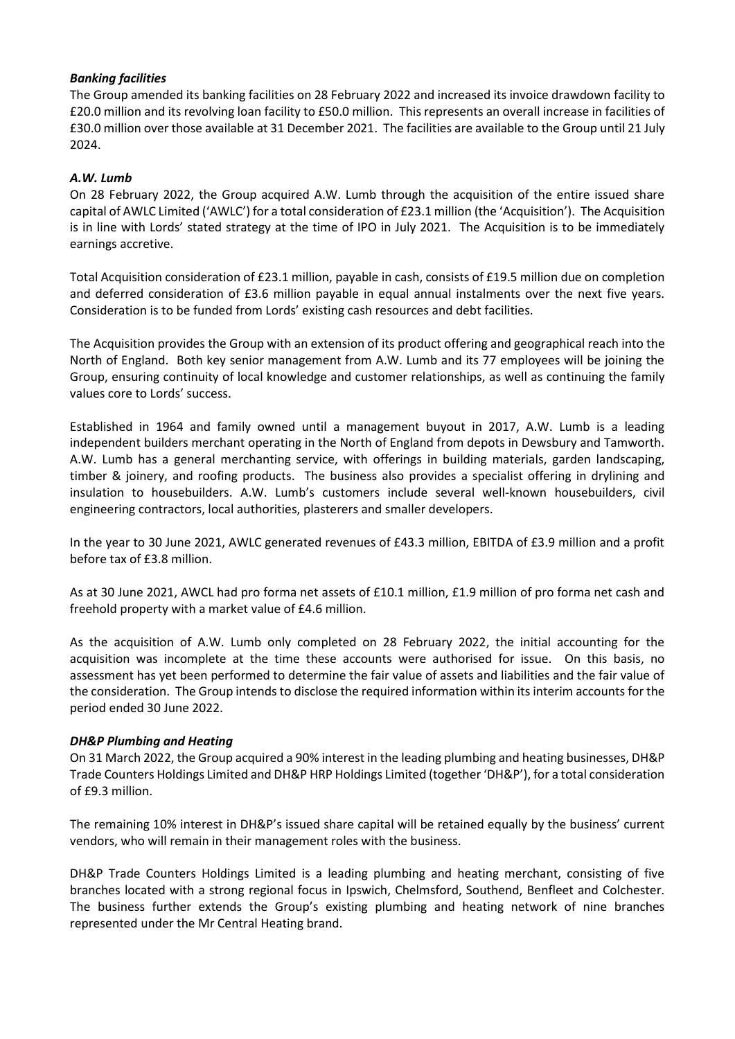# *Banking facilities*

The Group amended its banking facilities on 28 February 2022 and increased its invoice drawdown facility to £20.0 million and its revolving loan facility to £50.0 million. This represents an overall increase in facilities of £30.0 million over those available at 31 December 2021. The facilities are available to the Group until 21 July 2024.

# *A.W. Lumb*

On 28 February 2022, the Group acquired A.W. Lumb through the acquisition of the entire issued share capital of AWLC Limited ('AWLC') for a total consideration of £23.1 million (the 'Acquisition'). The Acquisition is in line with Lords' stated strategy at the time of IPO in July 2021. The Acquisition is to be immediately earnings accretive.

Total Acquisition consideration of £23.1 million, payable in cash, consists of £19.5 million due on completion and deferred consideration of £3.6 million payable in equal annual instalments over the next five years. Consideration is to be funded from Lords' existing cash resources and debt facilities.

The Acquisition provides the Group with an extension of its product offering and geographical reach into the North of England. Both key senior management from A.W. Lumb and its 77 employees will be joining the Group, ensuring continuity of local knowledge and customer relationships, as well as continuing the family values core to Lords' success.

Established in 1964 and family owned until a management buyout in 2017, A.W. Lumb is a leading independent builders merchant operating in the North of England from depots in Dewsbury and Tamworth. A.W. Lumb has a general merchanting service, with offerings in building materials, garden landscaping, timber & joinery, and roofing products. The business also provides a specialist offering in drylining and insulation to housebuilders. A.W. Lumb's customers include several well-known housebuilders, civil engineering contractors, local authorities, plasterers and smaller developers.

In the year to 30 June 2021, AWLC generated revenues of £43.3 million, EBITDA of £3.9 million and a profit before tax of £3.8 million.

As at 30 June 2021, AWCL had pro forma net assets of £10.1 million, £1.9 million of pro forma net cash and freehold property with a market value of £4.6 million.

As the acquisition of A.W. Lumb only completed on 28 February 2022, the initial accounting for the acquisition was incomplete at the time these accounts were authorised for issue. On this basis, no assessment has yet been performed to determine the fair value of assets and liabilities and the fair value of the consideration. The Group intends to disclose the required information within its interim accounts for the period ended 30 June 2022.

# *DH&P Plumbing and Heating*

On 31 March 2022, the Group acquired a 90% interest in the leading plumbing and heating businesses, DH&P Trade Counters Holdings Limited and DH&P HRP Holdings Limited (together 'DH&P'), for a total consideration of £9.3 million.

The remaining 10% interest in DH&P's issued share capital will be retained equally by the business' current vendors, who will remain in their management roles with the business.

DH&P Trade Counters Holdings Limited is a leading plumbing and heating merchant, consisting of five branches located with a strong regional focus in Ipswich, Chelmsford, Southend, Benfleet and Colchester. The business further extends the Group's existing plumbing and heating network of nine branches represented under the Mr Central Heating brand.